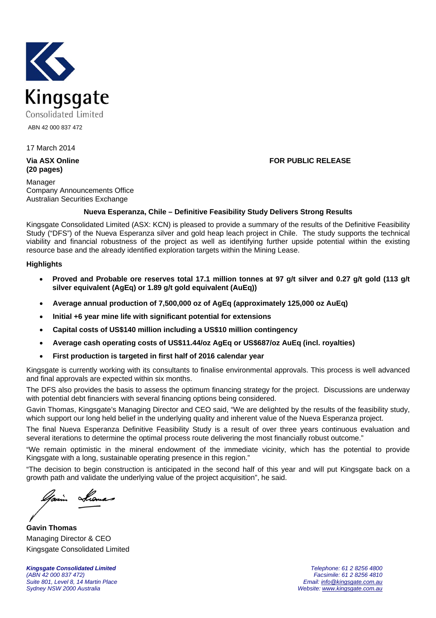

ABN 42 000 837 472

### 17 March 2014

**(20 pages)** 

Manager Company Announcements Office Australian Securities Exchange

#### **Via ASX Online FOR PUBLIC RELEASE**

#### **Nueva Esperanza, Chile – Definitive Feasibility Study Delivers Strong Results**

Kingsgate Consolidated Limited (ASX: KCN) is pleased to provide a summary of the results of the Definitive Feasibility Study ("DFS") of the Nueva Esperanza silver and gold heap leach project in Chile. The study supports the technical viability and financial robustness of the project as well as identifying further upside potential within the existing resource base and the already identified exploration targets within the Mining Lease.

#### **Highlights**

- **Proved and Probable ore reserves total 17.1 million tonnes at 97 g/t silver and 0.27 g/t gold (113 g/t silver equivalent (AgEq) or 1.89 g/t gold equivalent (AuEq))**
- **Average annual production of 7,500,000 oz of AgEq (approximately 125,000 oz AuEq)**
- **Initial +6 year mine life with significant potential for extensions**
- **Capital costs of US\$140 million including a US\$10 million contingency**
- **Average cash operating costs of US\$11.44/oz AgEq or US\$687/oz AuEq (incl. royalties)**
- **First production is targeted in first half of 2016 calendar year**

Kingsgate is currently working with its consultants to finalise environmental approvals. This process is well advanced and final approvals are expected within six months.

The DFS also provides the basis to assess the optimum financing strategy for the project. Discussions are underway with potential debt financiers with several financing options being considered.

Gavin Thomas, Kingsgate's Managing Director and CEO said, "We are delighted by the results of the feasibility study, which support our long held belief in the underlying quality and inherent value of the Nueva Esperanza project.

The final Nueva Esperanza Definitive Feasibility Study is a result of over three years continuous evaluation and several iterations to determine the optimal process route delivering the most financially robust outcome."

"We remain optimistic in the mineral endowment of the immediate vicinity, which has the potential to provide Kingsgate with a long, sustainable operating presence in this region."

"The decision to begin construction is anticipated in the second half of this year and will put Kingsgate back on a growth path and validate the underlying value of the project acquisition", he said.

**Gavin Thomas**  Managing Director & CEO Kingsgate Consolidated Limited

*Kingsgate Consolidated Limited Telephone: 61 2 8256 4800 Suite 801, Level 8, 14 Martin Place Email: info@kingsgate.com.au* 

*(ABN 42 000 837 472) Facsimile: 61 2 8256 4810*  Website: www.kingsgate.com.au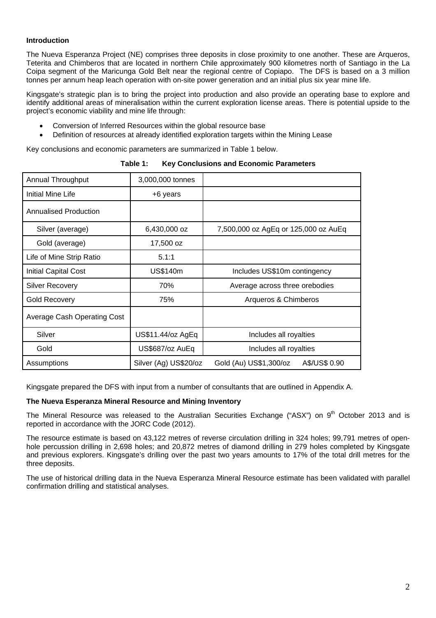#### **Introduction**

The Nueva Esperanza Project (NE) comprises three deposits in close proximity to one another. These are Arqueros, Teterita and Chimberos that are located in northern Chile approximately 900 kilometres north of Santiago in the La Coipa segment of the Maricunga Gold Belt near the regional centre of Copiapo. The DFS is based on a 3 million tonnes per annum heap leach operation with on-site power generation and an initial plus six year mine life.

Kingsgate's strategic plan is to bring the project into production and also provide an operating base to explore and identify additional areas of mineralisation within the current exploration license areas. There is potential upside to the project's economic viability and mine life through:

- Conversion of Inferred Resources within the global resource base
- Definition of resources at already identified exploration targets within the Mining Lease

Key conclusions and economic parameters are summarized in Table 1 below.

| Annual Throughput            | 3,000,000 tonnes                                |                                         |
|------------------------------|-------------------------------------------------|-----------------------------------------|
| Initial Mine Life            | +6 years                                        |                                         |
| <b>Annualised Production</b> |                                                 |                                         |
| Silver (average)             | 6,430,000 oz                                    | 7,500,000 oz AgEq or 125,000 oz AuEq    |
| Gold (average)               | 17,500 oz                                       |                                         |
| Life of Mine Strip Ratio     | 5.1:1                                           |                                         |
| <b>Initial Capital Cost</b>  | <b>US\$140m</b><br>Includes US\$10m contingency |                                         |
| Silver Recovery              | 70%                                             | Average across three orebodies          |
| <b>Gold Recovery</b>         | 75%                                             | Arqueros & Chimberos                    |
| Average Cash Operating Cost  |                                                 |                                         |
| Silver                       | US\$11.44/oz AgEq                               | Includes all royalties                  |
| Gold                         | US\$687/oz AuEq                                 | Includes all royalties                  |
| Assumptions                  | Silver (Ag) US\$20/oz                           | A\$/US\$ 0.90<br>Gold (Au) US\$1,300/oz |

**Table 1: Key Conclusions and Economic Parameters** 

Kingsgate prepared the DFS with input from a number of consultants that are outlined in Appendix A.

#### **The Nueva Esperanza Mineral Resource and Mining Inventory**

The Mineral Resource was released to the Australian Securities Exchange ("ASX") on 9<sup>th</sup> October 2013 and is reported in accordance with the JORC Code (2012).

The resource estimate is based on 43,122 metres of reverse circulation drilling in 324 holes; 99,791 metres of openhole percussion drilling in 2,698 holes; and 20,872 metres of diamond drilling in 279 holes completed by Kingsgate and previous explorers. Kingsgate's drilling over the past two years amounts to 17% of the total drill metres for the three deposits.

The use of historical drilling data in the Nueva Esperanza Mineral Resource estimate has been validated with parallel confirmation drilling and statistical analyses.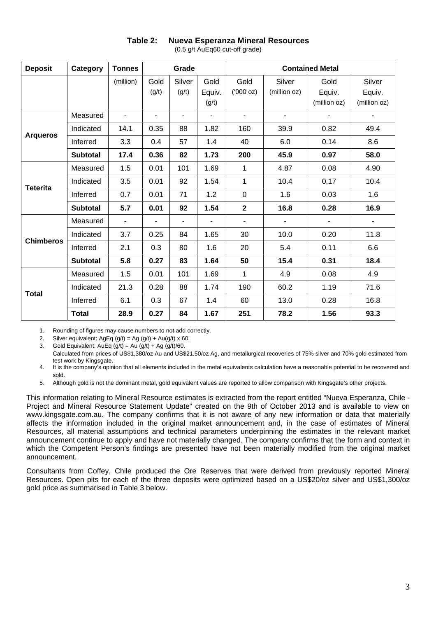| <b>Deposit</b>   | Category        | <b>Tonnes</b>            |                          | Grade           |                         |                          |                          | <b>Contained Metal</b>         |                                  |
|------------------|-----------------|--------------------------|--------------------------|-----------------|-------------------------|--------------------------|--------------------------|--------------------------------|----------------------------------|
|                  |                 | (million)                | Gold<br>(g/t)            | Silver<br>(g/t) | Gold<br>Equiv.<br>(g/t) | Gold<br>(000 oz)         | Silver<br>(million oz)   | Gold<br>Equiv.<br>(million oz) | Silver<br>Equiv.<br>(million oz) |
|                  | Measured        |                          | -                        |                 | ٠                       |                          |                          |                                | ٠                                |
|                  | Indicated       | 14.1                     | 0.35                     | 88              | 1.82                    | 160                      | 39.9                     | 0.82                           | 49.4                             |
| <b>Arqueros</b>  | Inferred        | 3.3                      | 0.4                      | 57              | 1.4                     | 40                       | 6.0                      | 0.14                           | 8.6                              |
|                  | <b>Subtotal</b> | 17.4                     | 0.36                     | 82              | 1.73                    | 200                      | 45.9                     | 0.97                           | 58.0                             |
| <b>Teterita</b>  | Measured        | 1.5                      | 0.01                     | 101             | 1.69                    | 1                        | 4.87                     | 0.08                           | 4.90                             |
|                  | Indicated       | 3.5                      | 0.01                     | 92              | 1.54                    | 1                        | 10.4                     | 0.17                           | 10.4                             |
|                  | Inferred        | 0.7                      | 0.01                     | 71              | 1.2                     | $\mathbf 0$              | 1.6                      | 0.03                           | 1.6                              |
|                  | <b>Subtotal</b> | 5.7                      | 0.01                     | 92              | 1.54                    | $\mathbf{2}$             | 16.8                     | 0.28                           | 16.9                             |
|                  | Measured        | $\overline{\phantom{a}}$ | $\overline{\phantom{a}}$ | ۰               |                         | $\overline{\phantom{a}}$ | $\overline{\phantom{a}}$ | $\overline{\phantom{0}}$       | $\qquad \qquad \blacksquare$     |
| <b>Chimberos</b> | Indicated       | 3.7                      | 0.25                     | 84              | 1.65                    | 30                       | 10.0                     | 0.20                           | 11.8                             |
|                  | Inferred        | 2.1                      | 0.3                      | 80              | 1.6                     | 20                       | 5.4                      | 0.11                           | 6.6                              |
|                  | <b>Subtotal</b> | 5.8                      | 0.27                     | 83              | 1.64                    | 50                       | 15.4                     | 0.31                           | 18.4                             |
| <b>Total</b>     | Measured        | 1.5                      | 0.01                     | 101             | 1.69                    | 1                        | 4.9                      | 0.08                           | 4.9                              |
|                  | Indicated       | 21.3                     | 0.28                     | 88              | 1.74                    | 190                      | 60.2                     | 1.19                           | 71.6                             |
|                  | Inferred        | 6.1                      | 0.3                      | 67              | 1.4                     | 60                       | 13.0                     | 0.28                           | 16.8                             |
|                  | <b>Total</b>    | 28.9                     | 0.27                     | 84              | 1.67                    | 251                      | 78.2                     | 1.56                           | 93.3                             |

#### **Table 2: Nueva Esperanza Mineral Resources**  (0.5 g/t AuEq60 cut-off grade)

1. Rounding of figures may cause numbers to not add correctly.

2. Silver equivalent:  $AqEq$  (g/t) = Ag (g/t) + Au(g/t) x 60.

3. Gold Equivalent:  $AuEq (g/t) = Au (g/t) + Ag (g/t)/60$ . Calculated from prices of US\$1,380/oz Au and US\$21.50/oz Ag, and metallurgical recoveries of 75% silver and 70% gold estimated from test work by Kingsgate.

4. It is the company's opinion that all elements included in the metal equivalents calculation have a reasonable potential to be recovered and sold.

5. Although gold is not the dominant metal, gold equivalent values are reported to allow comparison with Kingsgate's other projects.

This information relating to Mineral Resource estimates is extracted from the report entitled "Nueva Esperanza, Chile - Project and Mineral Resource Statement Update" created on the 9th of October 2013 and is available to view on www.kingsgate.com.au. The company confirms that it is not aware of any new information or data that materially affects the information included in the original market announcement and, in the case of estimates of Mineral Resources, all material assumptions and technical parameters underpinning the estimates in the relevant market announcement continue to apply and have not materially changed. The company confirms that the form and context in which the Competent Person's findings are presented have not been materially modified from the original market announcement.

Consultants from Coffey, Chile produced the Ore Reserves that were derived from previously reported Mineral Resources. Open pits for each of the three deposits were optimized based on a US\$20/oz silver and US\$1,300/oz gold price as summarised in Table 3 below.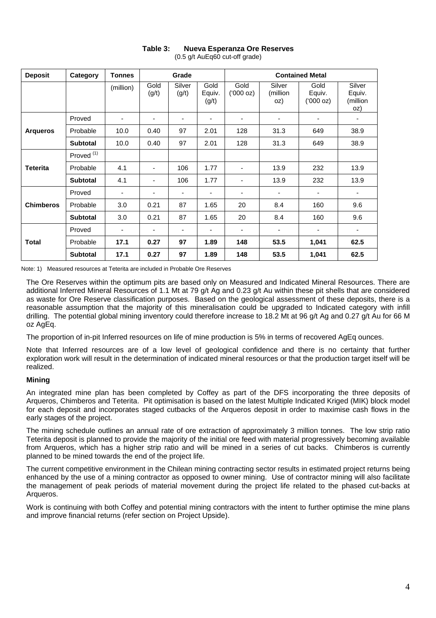| <b>Deposit</b>   | Category              | <b>Tonnes</b>            |                          | Grade           |                         |                            |                            | <b>Contained Metal</b>               |                                     |
|------------------|-----------------------|--------------------------|--------------------------|-----------------|-------------------------|----------------------------|----------------------------|--------------------------------------|-------------------------------------|
|                  |                       | (million)                | Gold<br>(g/t)            | Silver<br>(g/t) | Gold<br>Equiv.<br>(g/t) | Gold<br>$(000 \text{ oz})$ | Silver<br>(million)<br>oz) | Gold<br>Equiv.<br>$(000 \text{ oz})$ | Silver<br>Equiv.<br>(million<br>oz) |
|                  | Proved                | ٠                        | ٠                        | ٠               | ٠                       | $\overline{\phantom{a}}$   | ٠                          | $\overline{\phantom{0}}$             |                                     |
| <b>Arqueros</b>  | Probable              | 10.0                     | 0.40                     | 97              | 2.01                    | 128                        | 31.3                       | 649                                  | 38.9                                |
|                  | <b>Subtotal</b>       | 10.0                     | 0.40                     | 97              | 2.01                    | 128                        | 31.3                       | 649                                  | 38.9                                |
|                  | Proved <sup>(1)</sup> |                          |                          |                 |                         |                            |                            |                                      |                                     |
| <b>Teterita</b>  | Probable              | 4.1                      | $\blacksquare$           | 106             | 1.77                    | $\overline{\phantom{a}}$   | 13.9                       | 232                                  | 13.9                                |
|                  | <b>Subtotal</b>       | 4.1                      | ٠                        | 106             | 1.77                    | $\overline{\phantom{a}}$   | 13.9                       | 232                                  | 13.9                                |
|                  | Proved                | $\blacksquare$           | ٠                        | ٠               | -                       | $\overline{\phantom{a}}$   | -                          | ٠                                    | $\overline{\phantom{a}}$            |
| <b>Chimberos</b> | Probable              | 3.0                      | 0.21                     | 87              | 1.65                    | 20                         | 8.4                        | 160                                  | 9.6                                 |
|                  | <b>Subtotal</b>       | 3.0                      | 0.21                     | 87              | 1.65                    | 20                         | 8.4                        | 160                                  | 9.6                                 |
| <b>Total</b>     | Proved                | $\overline{\phantom{a}}$ | $\overline{\phantom{a}}$ | ٠               | -                       | $\overline{\phantom{a}}$   | $\overline{\phantom{a}}$   | ۰                                    |                                     |
|                  | Probable              | 17.1                     | 0.27                     | 97              | 1.89                    | 148                        | 53.5                       | 1,041                                | 62.5                                |
|                  | <b>Subtotal</b>       | 17.1                     | 0.27                     | 97              | 1.89                    | 148                        | 53.5                       | 1,041                                | 62.5                                |

#### **Table 3: Nueva Esperanza Ore Reserves**  (0.5 g/t AuEq60 cut-off grade)

Note: 1) Measured resources at Teterita are included in Probable Ore Reserves

The Ore Reserves within the optimum pits are based only on Measured and Indicated Mineral Resources. There are additional Inferred Mineral Resources of 1.1 Mt at 79 g/t Ag and 0.23 g/t Au within these pit shells that are considered as waste for Ore Reserve classification purposes. Based on the geological assessment of these deposits, there is a reasonable assumption that the majority of this mineralisation could be upgraded to Indicated category with infill drilling. The potential global mining inventory could therefore increase to 18.2 Mt at 96 g/t Ag and 0.27 g/t Au for 66 M oz AgEq.

The proportion of in-pit Inferred resources on life of mine production is 5% in terms of recovered AgEq ounces.

Note that Inferred resources are of a low level of geological confidence and there is no certainty that further exploration work will result in the determination of indicated mineral resources or that the production target itself will be realized.

#### **Mining**

An integrated mine plan has been completed by Coffey as part of the DFS incorporating the three deposits of Arqueros, Chimberos and Teterita. Pit optimisation is based on the latest Multiple Indicated Kriged (MIK) block model for each deposit and incorporates staged cutbacks of the Arqueros deposit in order to maximise cash flows in the early stages of the project.

The mining schedule outlines an annual rate of ore extraction of approximately 3 million tonnes. The low strip ratio Teterita deposit is planned to provide the majority of the initial ore feed with material progressively becoming available from Arqueros, which has a higher strip ratio and will be mined in a series of cut backs. Chimberos is currently planned to be mined towards the end of the project life.

The current competitive environment in the Chilean mining contracting sector results in estimated project returns being enhanced by the use of a mining contractor as opposed to owner mining. Use of contractor mining will also facilitate the management of peak periods of material movement during the project life related to the phased cut-backs at Arqueros.

Work is continuing with both Coffey and potential mining contractors with the intent to further optimise the mine plans and improve financial returns (refer section on Project Upside).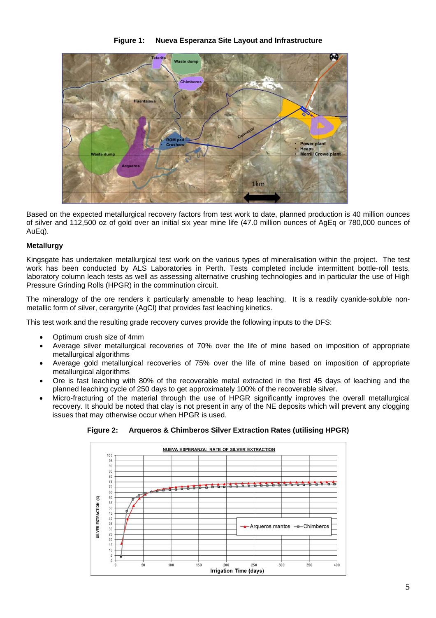#### **Figure 1: Nueva Esperanza Site Layout and Infrastructure**



Based on the expected metallurgical recovery factors from test work to date, planned production is 40 million ounces of silver and 112,500 oz of gold over an initial six year mine life (47.0 million ounces of AgEq or 780,000 ounces of AuEq).

#### **Metallurgy**

Kingsgate has undertaken metallurgical test work on the various types of mineralisation within the project. The test work has been conducted by ALS Laboratories in Perth. Tests completed include intermittent bottle-roll tests, laboratory column leach tests as well as assessing alternative crushing technologies and in particular the use of High Pressure Grinding Rolls (HPGR) in the comminution circuit.

The mineralogy of the ore renders it particularly amenable to heap leaching. It is a readily cyanide-soluble nonmetallic form of silver, cerargyrite (AgCl) that provides fast leaching kinetics.

This test work and the resulting grade recovery curves provide the following inputs to the DFS:

- Optimum crush size of 4mm
- Average silver metallurgical recoveries of 70% over the life of mine based on imposition of appropriate metallurgical algorithms
- Average gold metallurgical recoveries of 75% over the life of mine based on imposition of appropriate metallurgical algorithms
- Ore is fast leaching with 80% of the recoverable metal extracted in the first 45 days of leaching and the planned leaching cycle of 250 days to get approximately 100% of the recoverable silver.
- Micro-fracturing of the material through the use of HPGR significantly improves the overall metallurgical recovery. It should be noted that clay is not present in any of the NE deposits which will prevent any clogging issues that may otherwise occur when HPGR is used.

NUEVA ESPERANZA: RATE OF SILVER EXTRACTION  $100$ 95  $\frac{1}{90}$ 85 80 75 \*\*\*\*\*\*  $+ +$  $+ + +$  $\overline{70}$  $65$ 60  $\binom{N}{k}$ 55 **SILVER EXTRACTION** 50  $45$  $40$ Arqueros mantos - - Chimberos  $30<sup>2</sup>$ 25  $20$ 15  $10$ 5  $\overline{0}$  $350$  $100$ 150  $300$  $400$  $50$ Irrigation Time (days)

**Figure 2: Arqueros & Chimberos Silver Extraction Rates (utilising HPGR)**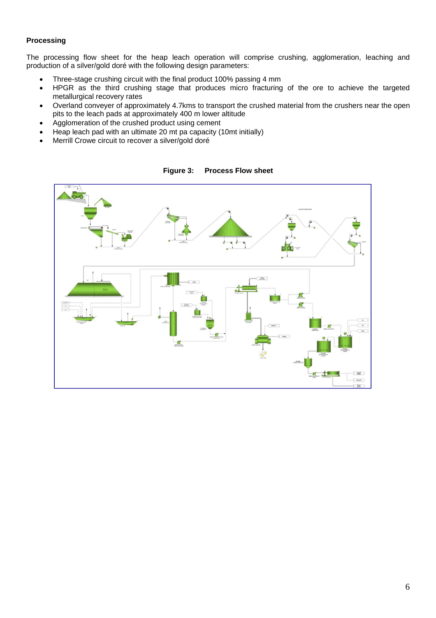## **Processing**

The processing flow sheet for the heap leach operation will comprise crushing, agglomeration, leaching and production of a silver/gold doré with the following design parameters:

- Three-stage crushing circuit with the final product 100% passing 4 mm
- HPGR as the third crushing stage that produces micro fracturing of the ore to achieve the targeted metallurgical recovery rates
- Overland conveyer of approximately 4.7kms to transport the crushed material from the crushers near the open pits to the leach pads at approximately 400 m lower altitude
- Agglomeration of the crushed product using cement
- Heap leach pad with an ultimate 20 mt pa capacity (10mt initially)
- Merrill Crowe circuit to recover a silver/gold doré



**Figure 3: Process Flow sheet**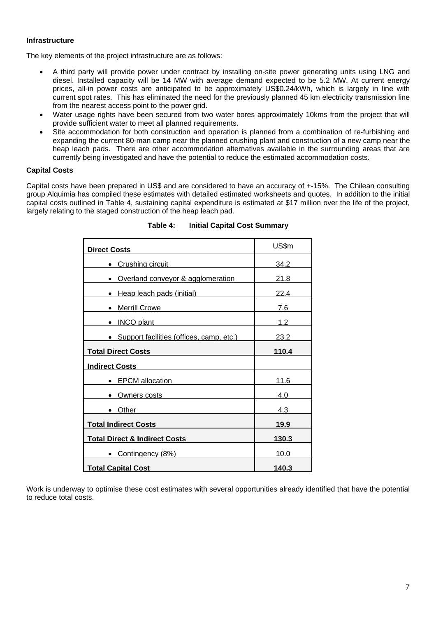#### **Infrastructure**

The key elements of the project infrastructure are as follows:

- A third party will provide power under contract by installing on-site power generating units using LNG and diesel. Installed capacity will be 14 MW with average demand expected to be 5.2 MW. At current energy prices, all-in power costs are anticipated to be approximately US\$0.24/kWh, which is largely in line with current spot rates. This has eliminated the need for the previously planned 45 km electricity transmission line from the nearest access point to the power grid.
- Water usage rights have been secured from two water bores approximately 10kms from the project that will provide sufficient water to meet all planned requirements.
- Site accommodation for both construction and operation is planned from a combination of re-furbishing and expanding the current 80-man camp near the planned crushing plant and construction of a new camp near the heap leach pads. There are other accommodation alternatives available in the surrounding areas that are currently being investigated and have the potential to reduce the estimated accommodation costs.

#### **Capital Costs**

Capital costs have been prepared in US\$ and are considered to have an accuracy of +-15%. The Chilean consulting group Alquimia has compiled these estimates with detailed estimated worksheets and quotes. In addition to the initial capital costs outlined in Table 4, sustaining capital expenditure is estimated at \$17 million over the life of the project, largely relating to the staged construction of the heap leach pad.

| Direct Costs                             | US\$m        |
|------------------------------------------|--------------|
| • Crushing circuit                       | 34.2         |
| Overland conveyor & agglomeration        | 21.8         |
| • Heap leach pads (initial)              | 22.4         |
| • Merrill Crowe                          | 7.6          |
| • INCO plant                             | 1.2          |
| Support facilities (offices, camp, etc.) | 23.2         |
| <b>Total Direct Costs</b>                | 110.4        |
| <b>Indirect Costs</b>                    |              |
| <b>EPCM</b> allocation                   | 11.6         |
| Owners costs                             | 4.0          |
| Other                                    | 4.3          |
| <b>Total Indirect Costs</b>              | 19.9         |
| <b>Total Direct &amp; Indirect Costs</b> | <u>130.3</u> |
| • Contingency (8%)                       | 10.0         |
| <b>Total Capital Cost</b>                | 140.3        |

#### **Table 4: Initial Capital Cost Summary**

Work is underway to optimise these cost estimates with several opportunities already identified that have the potential to reduce total costs.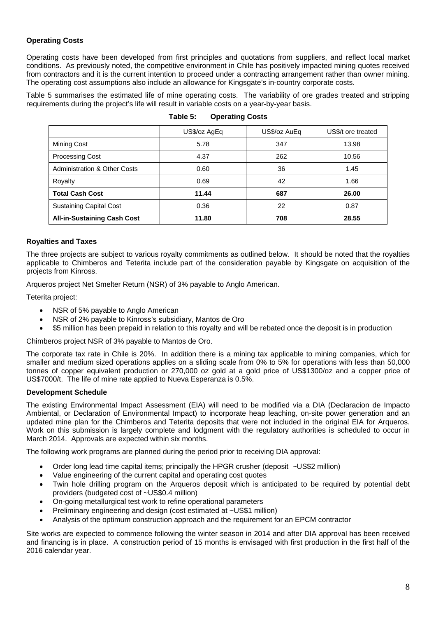## **Operating Costs**

Operating costs have been developed from first principles and quotations from suppliers, and reflect local market conditions. As previously noted, the competitive environment in Chile has positively impacted mining quotes received from contractors and it is the current intention to proceed under a contracting arrangement rather than owner mining. The operating cost assumptions also include an allowance for Kingsgate's in-country corporate costs.

Table 5 summarises the estimated life of mine operating costs. The variability of ore grades treated and stripping requirements during the project's life will result in variable costs on a year-by-year basis.

|                                         | US\$/oz AgEq | US\$/oz AuEq | US\$/t ore treated |
|-----------------------------------------|--------------|--------------|--------------------|
| Mining Cost                             | 5.78         | 347          | 13.98              |
| <b>Processing Cost</b>                  | 4.37         | 262          | 10.56              |
| <b>Administration &amp; Other Costs</b> | 0.60         | 36           | 1.45               |
| Royalty                                 | 0.69         | 42           | 1.66               |
| <b>Total Cash Cost</b>                  | 11.44        | 687          | 26.00              |
| <b>Sustaining Capital Cost</b>          | 0.36         | 22           | 0.87               |
| <b>All-in-Sustaining Cash Cost</b>      | 11.80        | 708          | 28.55              |

| Table 5: | <b>Operating Costs</b> |  |
|----------|------------------------|--|
|----------|------------------------|--|

#### **Royalties and Taxes**

The three projects are subject to various royalty commitments as outlined below. It should be noted that the royalties applicable to Chimberos and Teterita include part of the consideration payable by Kingsgate on acquisition of the projects from Kinross.

Arqueros project Net Smelter Return (NSR) of 3% payable to Anglo American.

Teterita project:

- NSR of 5% payable to Anglo American
- NSR of 2% payable to Kinross's subsidiary, Mantos de Oro
- \$5 million has been prepaid in relation to this royalty and will be rebated once the deposit is in production

Chimberos project NSR of 3% payable to Mantos de Oro.

The corporate tax rate in Chile is 20%. In addition there is a mining tax applicable to mining companies, which for smaller and medium sized operations applies on a sliding scale from 0% to 5% for operations with less than 50,000 tonnes of copper equivalent production or 270,000 oz gold at a gold price of US\$1300/oz and a copper price of US\$7000/t. The life of mine rate applied to Nueva Esperanza is 0.5%.

#### **Development Schedule**

The existing Environmental Impact Assessment (EIA) will need to be modified via a DIA (Declaracion de Impacto Ambiental, or Declaration of Environmental Impact) to incorporate heap leaching, on-site power generation and an updated mine plan for the Chimberos and Teterita deposits that were not included in the original EIA for Arqueros. Work on this submission is largely complete and lodgment with the regulatory authorities is scheduled to occur in March 2014. Approvals are expected within six months.

The following work programs are planned during the period prior to receiving DIA approval:

- Order long lead time capital items; principally the HPGR crusher (deposit ~US\$2 million)
- Value engineering of the current capital and operating cost quotes
- Twin hole drilling program on the Arqueros deposit which is anticipated to be required by potential debt providers (budgeted cost of ~US\$0.4 million)
- On-going metallurgical test work to refine operational parameters
- Preliminary engineering and design (cost estimated at ~US\$1 million)
- Analysis of the optimum construction approach and the requirement for an EPCM contractor

Site works are expected to commence following the winter season in 2014 and after DIA approval has been received and financing is in place. A construction period of 15 months is envisaged with first production in the first half of the 2016 calendar year.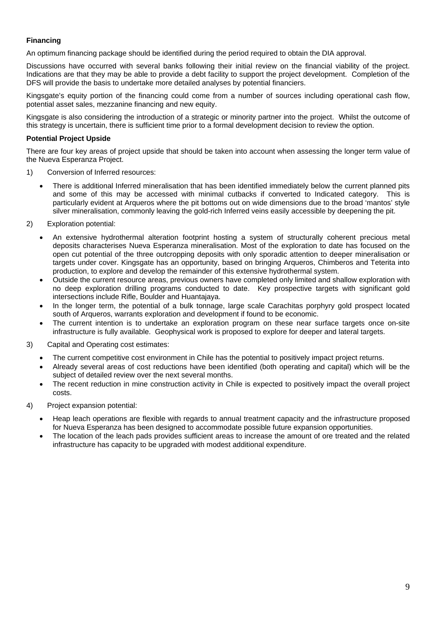## **Financing**

An optimum financing package should be identified during the period required to obtain the DIA approval.

Discussions have occurred with several banks following their initial review on the financial viability of the project. Indications are that they may be able to provide a debt facility to support the project development. Completion of the DFS will provide the basis to undertake more detailed analyses by potential financiers.

Kingsgate's equity portion of the financing could come from a number of sources including operational cash flow, potential asset sales, mezzanine financing and new equity.

Kingsgate is also considering the introduction of a strategic or minority partner into the project. Whilst the outcome of this strategy is uncertain, there is sufficient time prior to a formal development decision to review the option.

#### **Potential Project Upside**

There are four key areas of project upside that should be taken into account when assessing the longer term value of the Nueva Esperanza Project.

- 1) Conversion of Inferred resources:
	- There is additional Inferred mineralisation that has been identified immediately below the current planned pits and some of this may be accessed with minimal cutbacks if converted to Indicated category. This is particularly evident at Arqueros where the pit bottoms out on wide dimensions due to the broad 'mantos' style silver mineralisation, commonly leaving the gold-rich Inferred veins easily accessible by deepening the pit.
- 2) Exploration potential:
	- An extensive hydrothermal alteration footprint hosting a system of structurally coherent precious metal deposits characterises Nueva Esperanza mineralisation. Most of the exploration to date has focused on the open cut potential of the three outcropping deposits with only sporadic attention to deeper mineralisation or targets under cover. Kingsgate has an opportunity, based on bringing Arqueros, Chimberos and Teterita into production, to explore and develop the remainder of this extensive hydrothermal system.
	- Outside the current resource areas, previous owners have completed only limited and shallow exploration with no deep exploration drilling programs conducted to date. Key prospective targets with significant gold intersections include Rifle, Boulder and Huantajaya.
	- In the longer term, the potential of a bulk tonnage, large scale Carachitas porphyry gold prospect located south of Arqueros, warrants exploration and development if found to be economic.
	- The current intention is to undertake an exploration program on these near surface targets once on-site infrastructure is fully available. Geophysical work is proposed to explore for deeper and lateral targets.
- 3) Capital and Operating cost estimates:
	- The current competitive cost environment in Chile has the potential to positively impact project returns.
	- Already several areas of cost reductions have been identified (both operating and capital) which will be the subject of detailed review over the next several months.
	- The recent reduction in mine construction activity in Chile is expected to positively impact the overall project costs.
- 4) Project expansion potential:
	- Heap leach operations are flexible with regards to annual treatment capacity and the infrastructure proposed for Nueva Esperanza has been designed to accommodate possible future expansion opportunities.
	- The location of the leach pads provides sufficient areas to increase the amount of ore treated and the related infrastructure has capacity to be upgraded with modest additional expenditure.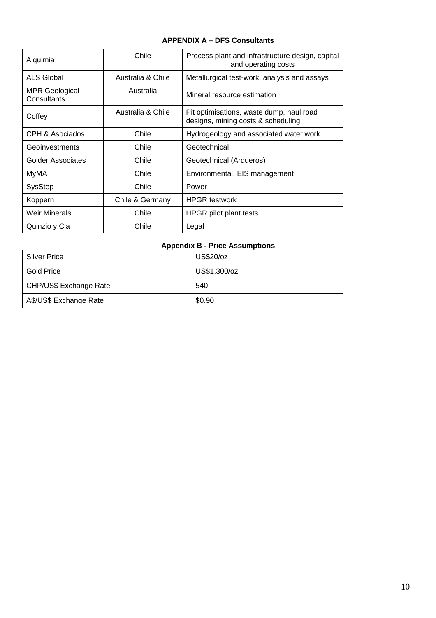## **APPENDIX A – DFS Consultants**

| Alquimia                      | Chile             | Process plant and infrastructure design, capital<br>and operating costs        |
|-------------------------------|-------------------|--------------------------------------------------------------------------------|
| ALS Global                    | Australia & Chile | Metallurgical test-work, analysis and assays                                   |
| MPR Geological<br>Consultants | Australia         | Mineral resource estimation                                                    |
| Coffey                        | Australia & Chile | Pit optimisations, waste dump, haul road<br>designs, mining costs & scheduling |
| CPH & Asociados               | Chile             | Hydrogeology and associated water work                                         |
| Geoinvestments                | Chile             | Geotechnical                                                                   |
| Golder Associates             | Chile             | Geotechnical (Arqueros)                                                        |
| MyMA                          | Chile             | Environmental, EIS management                                                  |
| <b>SysStep</b>                | Chile             | Power                                                                          |
| Koppern                       | Chile & Germany   | <b>HPGR</b> testwork                                                           |
| <b>Weir Minerals</b>          | Chile             | HPGR pilot plant tests                                                         |
| Quinzio y Cia                 | Chile             | Legal                                                                          |

# **Appendix B - Price Assumptions**

| <b>Silver Price</b>    | US\$20/oz    |
|------------------------|--------------|
| <b>Gold Price</b>      | US\$1,300/oz |
| CHP/US\$ Exchange Rate | 540          |
| A\$/US\$ Exchange Rate | \$0.90       |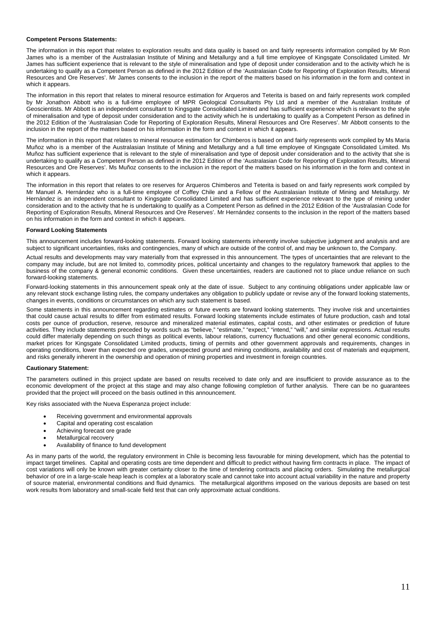#### **Competent Persons Statements:**

The information in this report that relates to exploration results and data quality is based on and fairly represents information compiled by Mr Ron James who is a member of the Australasian Institute of Mining and Metallurgy and a full time employee of Kingsgate Consolidated Limited. Mr James has sufficient experience that is relevant to the style of mineralisation and type of deposit under consideration and to the activity which he is undertaking to qualify as a Competent Person as defined in the 2012 Edition of the 'Australasian Code for Reporting of Exploration Results, Mineral Resources and Ore Reserves'. Mr James consents to the inclusion in the report of the matters based on his information in the form and context in which it appears.

The information in this report that relates to mineral resource estimation for Arqueros and Teterita is based on and fairly represents work compiled by Mr Jonathon Abbott who is a full-time employee of MPR Geological Consultants Pty Ltd and a member of the Australian Institute of Geoscientists. Mr Abbott is an independent consultant to Kingsgate Consolidated Limited and has sufficient experience which is relevant to the style of mineralisation and type of deposit under consideration and to the activity which he is undertaking to qualify as a Competent Person as defined in the 2012 Edition of the 'Australasian Code for Reporting of Exploration Results, Mineral Resources and Ore Reserves'. Mr Abbott consents to the inclusion in the report of the matters based on his information in the form and context in which it appears.

The information in this report that relates to mineral resource estimation for Chimberos is based on and fairly represents work compiled by Ms Maria Muñoz who is a member of the Australasian Institute of Mining and Metallurgy and a full time employee of Kingsgate Consolidated Limited. Ms Muñoz has sufficient experience that is relevant to the style of mineralisation and type of deposit under consideration and to the activity that she is undertaking to qualify as a Competent Person as defined in the 2012 Edition of the 'Australasian Code for Reporting of Exploration Results, Mineral Resources and Ore Reserves'. Ms Muñoz consents to the inclusion in the report of the matters based on his information in the form and context in which it appears.

The information in this report that relates to ore reserves for Arqueros Chimberos and Teterita is based on and fairly represents work compiled by Mr Manuel A. Hernández who is a full-time employee of Coffey Chile and a Fellow of the Australasian Institute of Mining and Metallurgy. Mr Hernández is an independent consultant to Kingsgate Consolidated Limited and has sufficient experience relevant to the type of mining under consideration and to the activity that he is undertaking to qualify as a Competent Person as defined in the 2012 Edition of the 'Australasian Code for Reporting of Exploration Results, Mineral Resources and Ore Reserves'. Mr Hernández consents to the inclusion in the report of the matters based on his information in the form and context in which it appears.

#### **Forward Looking Statements**

This announcement includes forward-looking statements. Forward looking statements inherently involve subjective judgment and analysis and are subject to significant uncertainties, risks and contingencies, many of which are outside of the control of, and may be unknown to, the Company.

Actual results and developments may vary materially from that expressed in this announcement. The types of uncertainties that are relevant to the company may include, but are not limited to, commodity prices, political uncertainty and changes to the regulatory framework that applies to the business of the company & general economic conditions. Given these uncertainties, readers are cautioned not to place undue reliance on such forward-looking statements.

Forward-looking statements in this announcement speak only at the date of issue. Subject to any continuing obligations under applicable law or any relevant stock exchange listing rules, the company undertakes any obligation to publicly update or revise any of the forward looking statements, changes in events, conditions or circumstances on which any such statement is based.

Some statements in this announcement regarding estimates or future events are forward looking statements. They involve risk and uncertainties that could cause actual results to differ from estimated results. Forward looking statements include estimates of future production, cash and total costs per ounce of production, reserve, resource and mineralized material estimates, capital costs, and other estimates or prediction of future activities. They include statements preceded by words such as "believe," "estimate," "expect," "intend," "will," and similar expressions. Actual results could differ materially depending on such things as political events, labour relations, currency fluctuations and other general economic conditions, market prices for Kingsgate Consolidated Limited products, timing of permits and other government approvals and requirements, changes in operating conditions, lower than expected ore grades, unexpected ground and mining conditions, availability and cost of materials and equipment, and risks generally inherent in the ownership and operation of mining properties and investment in foreign countries.

#### **Cautionary Statement:**

The parameters outlined in this project update are based on results received to date only and are insufficient to provide assurance as to the economic development of the project at this stage and may also change following completion of further analysis. There can be no guarantees provided that the project will proceed on the basis outlined in this announcement.

Key risks associated with the Nueva Esperanza project include:

- Receiving government and environmental approvals
- Capital and operating cost escalation
- Achieving forecast ore grade
- Metallurgical recovery
- Availability of finance to fund development

As in many parts of the world, the regulatory environment in Chile is becoming less favourable for mining development, which has the potential to impact target timelines. Capital and operating costs are time dependent and difficult to predict without having firm contracts in place. The impact of cost variations will only be known with greater certainty closer to the time of tendering contracts and placing orders. Simulating the metallurgical behavior of ore in a large-scale heap leach is complex at a laboratory scale and cannot take into account actual variability in the nature and property of source material, environmental conditions and fluid dynamics. The metallurgical algorithms imposed on the various deposits are based on test work results from laboratory and small-scale field test that can only approximate actual conditions.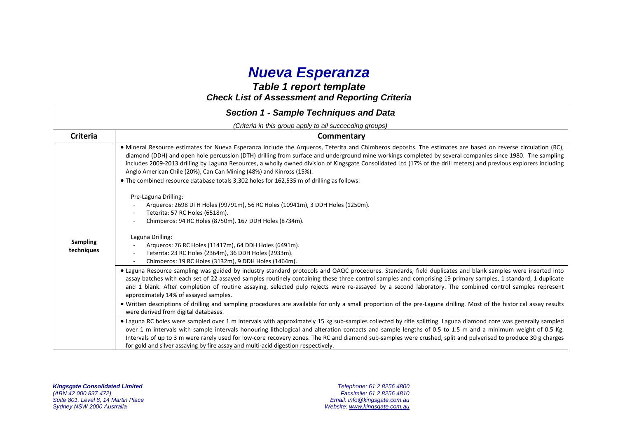# *Nueva Esperanza*

# *Table 1 report template Check List of Assessment and Reporting Criteria*

|                               | <b>Section 1 - Sample Techniques and Data</b>                                                                                                                                                                                                                                                                                                                                                                                                                                                                                                                                                                                                                                                                                                                                                                                                                                                                                                                                                               |
|-------------------------------|-------------------------------------------------------------------------------------------------------------------------------------------------------------------------------------------------------------------------------------------------------------------------------------------------------------------------------------------------------------------------------------------------------------------------------------------------------------------------------------------------------------------------------------------------------------------------------------------------------------------------------------------------------------------------------------------------------------------------------------------------------------------------------------------------------------------------------------------------------------------------------------------------------------------------------------------------------------------------------------------------------------|
|                               | (Criteria in this group apply to all succeeding groups)                                                                                                                                                                                                                                                                                                                                                                                                                                                                                                                                                                                                                                                                                                                                                                                                                                                                                                                                                     |
| <b>Criteria</b>               | Commentary                                                                                                                                                                                                                                                                                                                                                                                                                                                                                                                                                                                                                                                                                                                                                                                                                                                                                                                                                                                                  |
| <b>Sampling</b><br>techniques | • Mineral Resource estimates for Nueva Esperanza include the Argueros, Teterita and Chimberos deposits. The estimates are based on reverse circulation (RC),<br>diamond (DDH) and open hole percussion (DTH) drilling from surface and underground mine workings completed by several companies since 1980. The sampling<br>includes 2009-2013 drilling by Laguna Resources, a wholly owned division of Kingsgate Consolidated Ltd (17% of the drill meters) and previous explorers including<br>Anglo American Chile (20%), Can Can Mining (48%) and Kinross (15%).<br>• The combined resource database totals 3,302 holes for 162,535 m of drilling as follows:<br>Pre-Laguna Drilling:<br>Arqueros: 2698 DTH Holes (99791m), 56 RC Holes (10941m), 3 DDH Holes (1250m).<br>Teterita: 57 RC Holes (6518m).<br>Chimberos: 94 RC Holes (8750m), 167 DDH Holes (8734m).<br>Laguna Drilling:<br>Arqueros: 76 RC Holes (11417m), 64 DDH Holes (6491m).<br>Teterita: 23 RC Holes (2364m), 36 DDH Holes (2933m). |
|                               | Chimberos: 19 RC Holes (3132m), 9 DDH Holes (1464m).                                                                                                                                                                                                                                                                                                                                                                                                                                                                                                                                                                                                                                                                                                                                                                                                                                                                                                                                                        |
|                               | . Laguna Resource sampling was guided by industry standard protocols and QAQC procedures. Standards, field duplicates and blank samples were inserted into<br>assay batches with each set of 22 assayed samples routinely containing these three control samples and comprising 19 primary samples, 1 standard, 1 duplicate<br>and 1 blank. After completion of routine assaying, selected pulp rejects were re-assayed by a second laboratory. The combined control samples represent<br>approximately 14% of assayed samples.<br>. Written descriptions of drilling and sampling procedures are available for only a small proportion of the pre-Laguna drilling. Most of the historical assay results                                                                                                                                                                                                                                                                                                    |
|                               | were derived from digital databases.                                                                                                                                                                                                                                                                                                                                                                                                                                                                                                                                                                                                                                                                                                                                                                                                                                                                                                                                                                        |
|                               | • Laguna RC holes were sampled over 1 m intervals with approximately 15 kg sub-samples collected by rifle splitting. Laguna diamond core was generally sampled<br>over 1 m intervals with sample intervals honouring lithological and alteration contacts and sample lengths of 0.5 to 1.5 m and a minimum weight of 0.5 Kg.<br>Intervals of up to 3 m were rarely used for low-core recovery zones. The RC and diamond sub-samples were crushed, split and pulverised to produce 30 g charges<br>for gold and silver assaying by fire assay and multi-acid digestion respectively.                                                                                                                                                                                                                                                                                                                                                                                                                         |

*Kingsgate Consolidated Limited Telephone: 61 2 8256 4800*  Suite 801, Level 8, 14 Martin Place<br>Sydney NSW 2000 Australia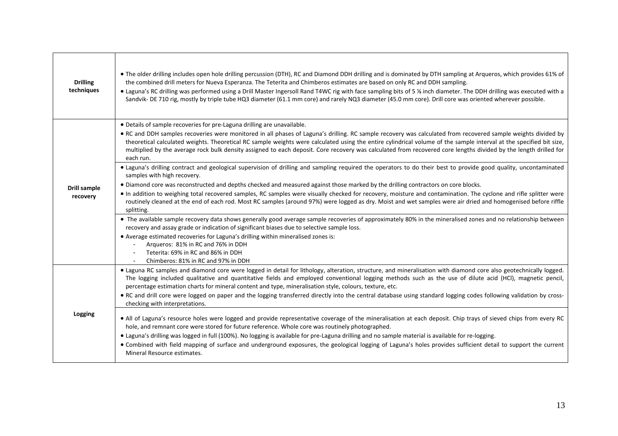| <b>Drilling</b><br>techniques | . The older drilling includes open hole drilling percussion (DTH), RC and Diamond DDH drilling and is dominated by DTH sampling at Arqueros, which provides 61% of<br>the combined drill meters for Nueva Esperanza. The Teterita and Chimberos estimates are based on only RC and DDH sampling.<br>• Laguna's RC drilling was performed using a Drill Master Ingersoll Rand T4WC rig with face sampling bits of 5 % inch diameter. The DDH drilling was executed with a<br>Sandvik- DE 710 rig, mostly by triple tube HQ3 diameter (61.1 mm core) and rarely NQ3 diameter (45.0 mm core). Drill core was oriented wherever possible.                                                                                                                                |
|-------------------------------|----------------------------------------------------------------------------------------------------------------------------------------------------------------------------------------------------------------------------------------------------------------------------------------------------------------------------------------------------------------------------------------------------------------------------------------------------------------------------------------------------------------------------------------------------------------------------------------------------------------------------------------------------------------------------------------------------------------------------------------------------------------------|
|                               | · Details of sample recoveries for pre-Laguna drilling are unavailable.<br>• RC and DDH samples recoveries were monitored in all phases of Laguna's drilling. RC sample recovery was calculated from recovered sample weights divided by<br>theoretical calculated weights. Theoretical RC sample weights were calculated using the entire cylindrical volume of the sample interval at the specified bit size,<br>multiplied by the average rock bulk density assigned to each deposit. Core recovery was calculated from recovered core lengths divided by the length drilled for<br>each run.<br>· Laguna's drilling contract and geological supervision of drilling and sampling required the operators to do their best to provide good quality, uncontaminated |
| Drill sample<br>recovery      | samples with high recovery.<br>. Diamond core was reconstructed and depths checked and measured against those marked by the drilling contractors on core blocks.<br>. In addition to weighing total recovered samples, RC samples were visually checked for recovery, moisture and contamination. The cyclone and rifle splitter were<br>routinely cleaned at the end of each rod. Most RC samples (around 97%) were logged as dry. Moist and wet samples were air dried and homogenised before riffle<br>splitting.                                                                                                                                                                                                                                                 |
|                               | • The available sample recovery data shows generally good average sample recoveries of approximately 80% in the mineralised zones and no relationship between<br>recovery and assay grade or indication of significant biases due to selective sample loss.<br>• Average estimated recoveries for Laguna's drilling within mineralised zones is:<br>Arqueros: 81% in RC and 76% in DDH<br>Teterita: 69% in RC and 86% in DDH<br>Chimberos: 81% in RC and 97% in DDH                                                                                                                                                                                                                                                                                                  |
|                               | • Laguna RC samples and diamond core were logged in detail for lithology, alteration, structure, and mineralisation with diamond core also geotechnically logged.<br>The logging included qualitative and quantitative fields and employed conventional logging methods such as the use of dilute acid (HCl), magnetic pencil,<br>percentage estimation charts for mineral content and type, mineralisation style, colours, texture, etc.<br>. RC and drill core were logged on paper and the logging transferred directly into the central database using standard logging codes following validation by cross-<br>checking with interpretations.                                                                                                                   |
| Logging                       | . All of Laguna's resource holes were logged and provide representative coverage of the mineralisation at each deposit. Chip trays of sieved chips from every RC<br>hole, and remnant core were stored for future reference. Whole core was routinely photographed.<br>• Laguna's drilling was logged in full (100%). No logging is available for pre-Laguna drilling and no sample material is available for re-logging.<br>• Combined with field mapping of surface and underground exposures, the geological logging of Laguna's holes provides sufficient detail to support the current<br>Mineral Resource estimates.                                                                                                                                           |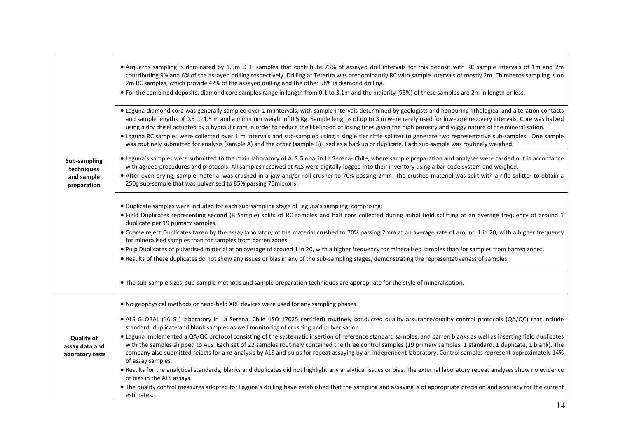|                                                         | • Arqueros sampling is dominated by 1.5m DTH samples that contribute 73% of assayed drill intervals for this deposit with RC sample intervals of 1m and 2m<br>contributing 9% and 6% of the assayed drilling respectively. Drilling at Teterita was predominantly RC with sample intervals of mostly 2m. Chimberos sampling is on<br>2m RC samples, which provide 42% of the assayed drilling and the other 58% is diamond drilling.<br>• For the combined deposits, diamond core samples range in length from 0.1 to 3.1m and the majority (93%) of these samples are 2m in length or less.                                                                                                                                                                                                                                                                                                                                                                                                           |
|---------------------------------------------------------|--------------------------------------------------------------------------------------------------------------------------------------------------------------------------------------------------------------------------------------------------------------------------------------------------------------------------------------------------------------------------------------------------------------------------------------------------------------------------------------------------------------------------------------------------------------------------------------------------------------------------------------------------------------------------------------------------------------------------------------------------------------------------------------------------------------------------------------------------------------------------------------------------------------------------------------------------------------------------------------------------------|
|                                                         | • Laguna diamond core was generally sampled over 1 m intervals, with sample intervals determined by geologists and honouring lithological and alteration contacts<br>and sample lengths of 0.5 to 1.5 m and a minimum weight of 0.5 Kg. Sample lengths of up to 3 m were rarely used for low-core recovery intervals. Core was halved<br>using a dry chisel actuated by a hydraulic ram in order to reduce the likelihood of losing fines given the high porosity and vuggy nature of the mineralisation.<br>• Laguna RC samples were collected over 1 m intervals and sub-sampled using a single tier riffle splitter to generate two representative sub-samples. One sample<br>was routinely submitted for analysis (sample A) and the other (sample B) used as a backup or duplicate. Each sub-sample was routinely weighed.                                                                                                                                                                        |
| Sub-sampling<br>techniques<br>and sample<br>preparation | • Laguna's samples were submitted to the main laboratory of ALS Global in La Serena- Chile, where sample preparation and analyses were carried out in accordance<br>with agreed procedures and protocols. All samples received at ALS were digitally logged into their inventory using a bar-code system and weighed.<br>• After oven drying, sample material was crushed in a jaw and/or roll crusher to 70% passing 2mm. The crushed material was split with a rifle splitter to obtain a<br>250g sub-sample that was pulverised to 85% passing 75 microns.                                                                                                                                                                                                                                                                                                                                                                                                                                          |
|                                                         | . Duplicate samples were included for each sub-sampling stage of Laguna's sampling, comprising:<br>• Field Duplicates representing second (B Sample) splits of RC samples and half core collected during initial field splitting at an average frequency of around 1<br>duplicate per 19 primary samples.<br>• Coarse reject Duplicates taken by the assay laboratory of the material crushed to 70% passing 2mm at an average rate of around 1 in 20, with a higher frequency<br>for mineralised samples than for samples from barren zones.<br>. Pulp Duplicates of pulverised material at an average of around 1 in 20, with a higher frequency for mineralised samples than for samples from barren zones.<br>. Results of these duplicates do not show any issues or bias in any of the sub-sampling stages, demonstrating the representativeness of samples.                                                                                                                                     |
|                                                         | • The sub-sample sizes, sub-sample methods and sample preparation techniques are appropriate for the style of mineralisation.                                                                                                                                                                                                                                                                                                                                                                                                                                                                                                                                                                                                                                                                                                                                                                                                                                                                          |
|                                                         | . No geophysical methods or hand-held XRF devices were used for any sampling phases.                                                                                                                                                                                                                                                                                                                                                                                                                                                                                                                                                                                                                                                                                                                                                                                                                                                                                                                   |
| <b>Quality of</b><br>assay data and<br>laboratory tests | . ALS GLOBAL ("ALS") laboratory in La Serena, Chile (ISO 17025 certified) routinely conducted quality assurance/quality control protocols (QA/QC) that include<br>standard, duplicate and blank samples as well monitoring of crushing and pulverisation.<br>• Laguna implemented a QA/QC protocol consisting of the systematic insertion of reference standard samples, and barren blanks as well as inserting field duplicates<br>with the samples shipped to ALS. Each set of 22 samples routinely contained the three control samples (19 primary samples, 1 standard, 1 duplicate, 1 blank). The<br>company also submitted rejects for a re-analysis by ALS and pulps for repeat assaying by an independent laboratory. Control samples represent approximately 14%<br>of assay samples.<br>. Results for the analytical standards, blanks and duplicates did not highlight any analytical issues or bias. The external laboratory repeat analyses show no evidence<br>of bias in the ALS assays. |
|                                                         | • The quality control measures adopted for Laguna's drilling have established that the sampling and assaying is of appropriate precision and accuracy for the current<br>estimates.                                                                                                                                                                                                                                                                                                                                                                                                                                                                                                                                                                                                                                                                                                                                                                                                                    |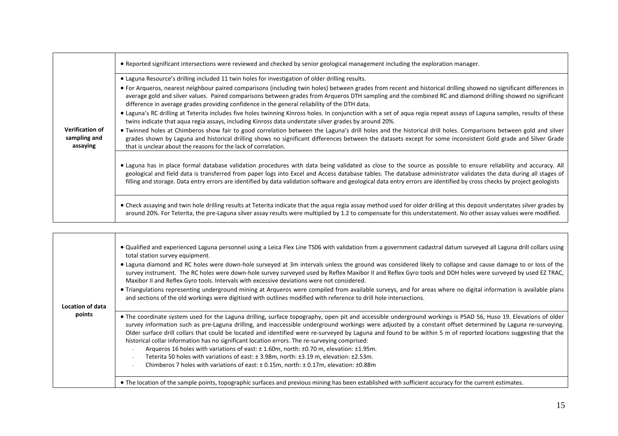|                                                    | • Reported significant intersections were reviewed and checked by senior geological management including the exploration manager.                                                                                                                                                                                                                                                                                                                                                                                 |
|----------------------------------------------------|-------------------------------------------------------------------------------------------------------------------------------------------------------------------------------------------------------------------------------------------------------------------------------------------------------------------------------------------------------------------------------------------------------------------------------------------------------------------------------------------------------------------|
|                                                    | . Laguna Resource's drilling included 11 twin holes for investigation of older drilling results.                                                                                                                                                                                                                                                                                                                                                                                                                  |
|                                                    | • For Arqueros, nearest neighbour paired comparisons (including twin holes) between grades from recent and historical drilling showed no significant differences in<br>average gold and silver values. Paired comparisons between grades from Arqueros DTH sampling and the combined RC and diamond drilling showed no significant<br>difference in average grades providing confidence in the general reliability of the DTH data.                                                                               |
|                                                    | • Laguna's RC drilling at Teterita includes five holes twinning Kinross holes. In conjunction with a set of aqua regia repeat assays of Laguna samples, results of these<br>twins indicate that agua regia assays, including Kinross data understate silver grades by around 20%.                                                                                                                                                                                                                                 |
| <b>Verification of</b><br>sampling and<br>assaying | • Twinned holes at Chimberos show fair to good correlation between the Laguna's drill holes and the historical drill holes. Comparisons between gold and silver<br>grades shown by Laguna and historical drilling shows no significant differences between the datasets except for some inconsistent Gold grade and Silver Grade<br>that is unclear about the reasons for the lack of correlation.                                                                                                                |
|                                                    | • Laguna has in place formal database validation procedures with data being validated as close to the source as possible to ensure reliability and accuracy. All<br>geological and field data is transferred from paper logs into Excel and Access database tables. The database administrator validates the data during all stages of<br>filling and storage. Data entry errors are identified by data validation software and geological data entry errors are identified by cross checks by project geologists |
|                                                    | • Check assaying and twin hole drilling results at Teterita indicate that the aqua regia assay method used for older drilling at this deposit understates silver grades by<br>around 20%. For Teterita, the pre-Laguna silver assay results were multiplied by 1.2 to compensate for this understatement. No other assay values were modified.                                                                                                                                                                    |

| Location of data<br>points | • Qualified and experienced Laguna personnel using a Leica Flex Line TS06 with validation from a government cadastral datum surveyed all Laguna drill collars using<br>total station survey equipment.<br>• Laguna diamond and RC holes were down-hole surveyed at 3m intervals unless the ground was considered likely to collapse and cause damage to or loss of the<br>survey instrument. The RC holes were down-hole survey surveyed used by Reflex Maxibor II and Reflex Gyro tools and DDH holes were surveyed by used EZ TRAC,<br>Maxibor II and Reflex Gyro tools. Intervals with excessive deviations were not considered.<br>. Triangulations representing underground mining at Arqueros were compiled from available surveys, and for areas where no digital information is available plans<br>and sections of the old workings were digitised with outlines modified with reference to drill hole intersections.                                                                                                                           |
|----------------------------|---------------------------------------------------------------------------------------------------------------------------------------------------------------------------------------------------------------------------------------------------------------------------------------------------------------------------------------------------------------------------------------------------------------------------------------------------------------------------------------------------------------------------------------------------------------------------------------------------------------------------------------------------------------------------------------------------------------------------------------------------------------------------------------------------------------------------------------------------------------------------------------------------------------------------------------------------------------------------------------------------------------------------------------------------------|
|                            | . The coordinate system used for the Laguna drilling, surface topography, open pit and accessible underground workings is PSAD 56, Huso 19. Elevations of older<br>survey information such as pre-Laguna drilling, and inaccessible underground workings were adjusted by a constant offset determined by Laguna re-surveying.<br>Older surface drill collars that could be located and identified were re-surveyed by Laguna and found to be within 5 m of reported locations suggesting that the<br>historical collar information has no significant location errors. The re-surveying comprised:<br>Arqueros 16 holes with variations of east: ± 1.60m, north: ±0.70 m, elevation: ±1.95m.<br>Teterita 50 holes with variations of east: ± 3.98m, north: ±3.19 m, elevation: ±2.53m.<br>Chimberos 7 holes with variations of east: $\pm$ 0.15m, north: $\pm$ 0.17m, elevation: $\pm$ 0.88m<br>. The location of the sample points, topographic surfaces and previous mining has been established with sufficient accuracy for the current estimates. |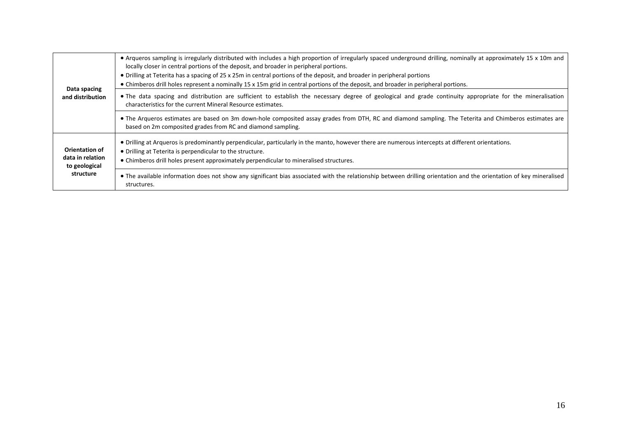| Data spacing<br>and distribution                                 | • Arqueros sampling is irregularly distributed with includes a high proportion of irregularly spaced underground drilling, nominally at approximately 15 x 10m and<br>locally closer in central portions of the deposit, and broader in peripheral portions.<br>• Drilling at Teterita has a spacing of 25 x 25m in central portions of the deposit, and broader in peripheral portions<br>• Chimberos drill holes represent a nominally 15 x 15m grid in central portions of the deposit, and broader in peripheral portions. |
|------------------------------------------------------------------|--------------------------------------------------------------------------------------------------------------------------------------------------------------------------------------------------------------------------------------------------------------------------------------------------------------------------------------------------------------------------------------------------------------------------------------------------------------------------------------------------------------------------------|
|                                                                  | . The data spacing and distribution are sufficient to establish the necessary degree of geological and grade continuity appropriate for the mineralisation<br>characteristics for the current Mineral Resource estimates.                                                                                                                                                                                                                                                                                                      |
|                                                                  | • The Arqueros estimates are based on 3m down-hole composited assay grades from DTH, RC and diamond sampling. The Teterita and Chimberos estimates are<br>based on 2m composited grades from RC and diamond sampling.                                                                                                                                                                                                                                                                                                          |
| Orientation of<br>data in relation<br>to geological<br>structure | • Drilling at Arqueros is predominantly perpendicular, particularly in the manto, however there are numerous intercepts at different orientations.<br>• Drilling at Teterita is perpendicular to the structure.<br>• Chimberos drill holes present approximately perpendicular to mineralised structures.                                                                                                                                                                                                                      |
|                                                                  | • The available information does not show any significant bias associated with the relationship between drilling orientation and the orientation of key mineralised<br>structures.                                                                                                                                                                                                                                                                                                                                             |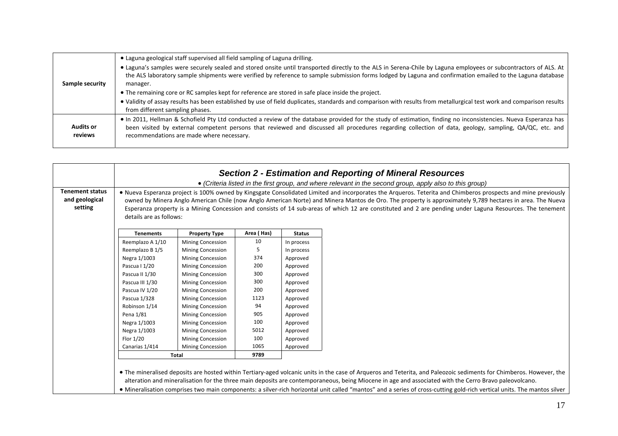|                  | • Laguna geological staff supervised all field sampling of Laguna drilling.                                                                                            |
|------------------|------------------------------------------------------------------------------------------------------------------------------------------------------------------------|
|                  | • Laguna's samples were securely sealed and stored onsite until transported directly to the ALS in Serena-Chile by Laguna employees or subcontractors of ALS. At       |
| Sample security  | the ALS laboratory sample shipments were verified by reference to sample submission forms lodged by Laguna and confirmation emailed to the Laguna database<br>manager. |
|                  | • The remaining core or RC samples kept for reference are stored in safe place inside the project.                                                                     |
|                  | • Validity of assay results has been established by use of field duplicates, standards and comparison with results from metallurgical test work and comparison results |
|                  | from different sampling phases.                                                                                                                                        |
|                  | . In 2011, Hellman & Schofield Pty Ltd conducted a review of the database provided for the study of estimation, finding no inconsistencies. Nueva Esperanza has        |
| <b>Audits or</b> | been visited by external competent persons that reviewed and discussed all procedures regarding collection of data, geology, sampling, QA/QC, etc. and                 |
| reviews          | recommendations are made where necessary.                                                                                                                              |

|                                                     |                                                                                                                                                                                                                                                                                                                                                                                                                                                                                                                    |                          |            |               | <b>Section 2 - Estimation and Reporting of Mineral Resources</b><br>• (Criteria listed in the first group, and where relevant in the second group, apply also to this group)                                                                                                                                                                                                                                                                                                                            |
|-----------------------------------------------------|--------------------------------------------------------------------------------------------------------------------------------------------------------------------------------------------------------------------------------------------------------------------------------------------------------------------------------------------------------------------------------------------------------------------------------------------------------------------------------------------------------------------|--------------------------|------------|---------------|---------------------------------------------------------------------------------------------------------------------------------------------------------------------------------------------------------------------------------------------------------------------------------------------------------------------------------------------------------------------------------------------------------------------------------------------------------------------------------------------------------|
| <b>Tenement status</b><br>and geological<br>setting | • Nueva Esperanza project is 100% owned by Kingsgate Consolidated Limited and incorporates the Argueros. Teterita and Chimberos prospects and mine previously<br>owned by Minera Anglo American Chile (now Anglo American Norte) and Minera Mantos de Oro. The property is approximately 9,789 hectares in area. The Nueva<br>Esperanza property is a Mining Concession and consists of 14 sub-areas of which 12 are constituted and 2 are pending under Laguna Resources. The tenement<br>details are as follows: |                          |            |               |                                                                                                                                                                                                                                                                                                                                                                                                                                                                                                         |
|                                                     | <b>Tenements</b>                                                                                                                                                                                                                                                                                                                                                                                                                                                                                                   | <b>Property Type</b>     | Area (Has) | <b>Status</b> |                                                                                                                                                                                                                                                                                                                                                                                                                                                                                                         |
|                                                     | Reemplazo A 1/10                                                                                                                                                                                                                                                                                                                                                                                                                                                                                                   | <b>Mining Concession</b> | 10         | In process    |                                                                                                                                                                                                                                                                                                                                                                                                                                                                                                         |
|                                                     | Reemplazo B 1/5                                                                                                                                                                                                                                                                                                                                                                                                                                                                                                    | <b>Mining Concession</b> | 5          | In process    |                                                                                                                                                                                                                                                                                                                                                                                                                                                                                                         |
|                                                     | Negra 1/1003                                                                                                                                                                                                                                                                                                                                                                                                                                                                                                       | <b>Mining Concession</b> | 374        | Approved      |                                                                                                                                                                                                                                                                                                                                                                                                                                                                                                         |
|                                                     | Pascua I 1/20                                                                                                                                                                                                                                                                                                                                                                                                                                                                                                      | <b>Mining Concession</b> | 200        | Approved      |                                                                                                                                                                                                                                                                                                                                                                                                                                                                                                         |
|                                                     | Pascua II 1/30                                                                                                                                                                                                                                                                                                                                                                                                                                                                                                     | <b>Mining Concession</b> | 300        | Approved      |                                                                                                                                                                                                                                                                                                                                                                                                                                                                                                         |
|                                                     | Pascua III 1/30                                                                                                                                                                                                                                                                                                                                                                                                                                                                                                    | <b>Mining Concession</b> | 300        | Approved      |                                                                                                                                                                                                                                                                                                                                                                                                                                                                                                         |
|                                                     | Pascua IV 1/20                                                                                                                                                                                                                                                                                                                                                                                                                                                                                                     | <b>Mining Concession</b> | 200        | Approved      |                                                                                                                                                                                                                                                                                                                                                                                                                                                                                                         |
|                                                     | Pascua 1/328                                                                                                                                                                                                                                                                                                                                                                                                                                                                                                       | <b>Mining Concession</b> | 1123       | Approved      |                                                                                                                                                                                                                                                                                                                                                                                                                                                                                                         |
|                                                     | Robinson 1/14                                                                                                                                                                                                                                                                                                                                                                                                                                                                                                      | <b>Mining Concession</b> | 94         | Approved      |                                                                                                                                                                                                                                                                                                                                                                                                                                                                                                         |
|                                                     | Pena 1/81                                                                                                                                                                                                                                                                                                                                                                                                                                                                                                          | <b>Mining Concession</b> | 905        | Approved      |                                                                                                                                                                                                                                                                                                                                                                                                                                                                                                         |
|                                                     | Negra 1/1003                                                                                                                                                                                                                                                                                                                                                                                                                                                                                                       | <b>Mining Concession</b> | 100        | Approved      |                                                                                                                                                                                                                                                                                                                                                                                                                                                                                                         |
|                                                     | Negra 1/1003                                                                                                                                                                                                                                                                                                                                                                                                                                                                                                       | <b>Mining Concession</b> | 5012       | Approved      |                                                                                                                                                                                                                                                                                                                                                                                                                                                                                                         |
|                                                     | Flor 1/20                                                                                                                                                                                                                                                                                                                                                                                                                                                                                                          | <b>Mining Concession</b> | 100        | Approved      |                                                                                                                                                                                                                                                                                                                                                                                                                                                                                                         |
|                                                     | Canarias 1/414                                                                                                                                                                                                                                                                                                                                                                                                                                                                                                     | <b>Mining Concession</b> | 1065       | Approved      |                                                                                                                                                                                                                                                                                                                                                                                                                                                                                                         |
|                                                     |                                                                                                                                                                                                                                                                                                                                                                                                                                                                                                                    | Total                    | 9789       |               |                                                                                                                                                                                                                                                                                                                                                                                                                                                                                                         |
|                                                     |                                                                                                                                                                                                                                                                                                                                                                                                                                                                                                                    |                          |            |               | • The mineralised deposits are hosted within Tertiary-aged volcanic units in the case of Arqueros and Teterita, and Paleozoic sediments for Chimberos. However, the<br>alteration and mineralisation for the three main deposits are contemporaneous, being Miocene in age and associated with the Cerro Bravo paleovolcano.<br>. Mineralisation comprises two main components: a silver-rich horizontal unit called "mantos" and a series of cross-cutting gold-rich vertical units. The mantos silver |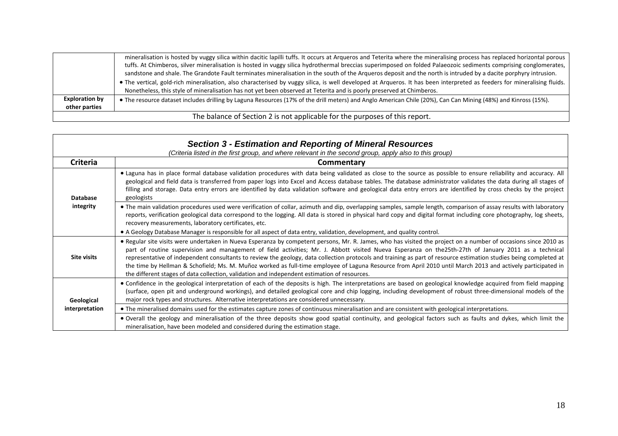|                                        | The balance of Section 2 is not applicable for the purposes of this report.                                                                                                                                                                                                                                                                                                                                                                                           |
|----------------------------------------|-----------------------------------------------------------------------------------------------------------------------------------------------------------------------------------------------------------------------------------------------------------------------------------------------------------------------------------------------------------------------------------------------------------------------------------------------------------------------|
| <b>Exploration by</b><br>other parties | • The resource dataset includes drilling by Laguna Resources (17% of the drill meters) and Anglo American Chile (20%), Can Can Mining (48%) and Kinross (15%).                                                                                                                                                                                                                                                                                                        |
|                                        | sandstone and shale. The Grandote Fault terminates mineralisation in the south of the Arqueros deposit and the north is intruded by a dacite porphyry intrusion.<br>. The vertical, gold-rich mineralisation, also characterised by vuggy silica, is well developed at Arqueros. It has been interpreted as feeders for mineralising fluids.<br>Nonetheless, this style of mineralisation has not yet been observed at Teterita and is poorly preserved at Chimberos. |
|                                        | mineralisation is hosted by vuggy silica within dacitic lapilli tuffs. It occurs at Arqueros and Teterita where the mineralising process has replaced horizontal porous<br>tuffs. At Chimberos, silver mineralisation is hosted in vuggy silica hydrothermal breccias superimposed on folded Palaeozoic sediments comprising conglomerates,                                                                                                                           |

| <b>Section 3 - Estimation and Reporting of Mineral Resources</b><br>(Criteria listed in the first group, and where relevant in the second group, apply also to this group) |                                                                                                                                                                                                                                                                                                                                                                                                                                                                                                                                                                                                                                                                                                                                                             |  |  |
|----------------------------------------------------------------------------------------------------------------------------------------------------------------------------|-------------------------------------------------------------------------------------------------------------------------------------------------------------------------------------------------------------------------------------------------------------------------------------------------------------------------------------------------------------------------------------------------------------------------------------------------------------------------------------------------------------------------------------------------------------------------------------------------------------------------------------------------------------------------------------------------------------------------------------------------------------|--|--|
| <b>Criteria</b>                                                                                                                                                            | Commentary                                                                                                                                                                                                                                                                                                                                                                                                                                                                                                                                                                                                                                                                                                                                                  |  |  |
| <b>Database</b><br>integrity                                                                                                                                               | . Laguna has in place formal database validation procedures with data being validated as close to the source as possible to ensure reliability and accuracy. All<br>geological and field data is transferred from paper logs into Excel and Access database tables. The database administrator validates the data during all stages of<br>filling and storage. Data entry errors are identified by data validation software and geological data entry errors are identified by cross checks by the project<br>geologists                                                                                                                                                                                                                                    |  |  |
|                                                                                                                                                                            | • The main validation procedures used were verification of collar, azimuth and dip, overlapping samples, sample length, comparison of assay results with laboratory<br>reports, verification geological data correspond to the logging. All data is stored in physical hard copy and digital format including core photography, log sheets,<br>recovery measurements, laboratory certificates, etc.<br>• A Geology Database Manager is responsible for all aspect of data entry, validation, development, and quality control.                                                                                                                                                                                                                              |  |  |
| <b>Site visits</b>                                                                                                                                                         | • Regular site visits were undertaken in Nueva Esperanza by competent persons, Mr. R. James, who has visited the project on a number of occasions since 2010 as<br>part of routine supervision and management of field activities; Mr. J. Abbott visited Nueva Esperanza on the25th-27th of January 2011 as a technical<br>representative of independent consultants to review the geology, data collection protocols and training as part of resource estimation studies being completed at<br>the time by Hellman & Schofield; Ms. M. Muñoz worked as full-time employee of Laguna Resource from April 2010 until March 2013 and actively participated in<br>the different stages of data collection, validation and independent estimation of resources. |  |  |
| Geological<br>interpretation                                                                                                                                               | • Confidence in the geological interpretation of each of the deposits is high. The interpretations are based on geological knowledge acquired from field mapping<br>(surface, open pit and underground workings), and detailed geological core and chip logging, including development of robust three-dimensional models of the<br>major rock types and structures. Alternative interpretations are considered unnecessary.                                                                                                                                                                                                                                                                                                                                |  |  |
|                                                                                                                                                                            | • The mineralised domains used for the estimates capture zones of continuous mineralisation and are consistent with geological interpretations.                                                                                                                                                                                                                                                                                                                                                                                                                                                                                                                                                                                                             |  |  |
|                                                                                                                                                                            | • Overall the geology and mineralisation of the three deposits show good spatial continuity, and geological factors such as faults and dykes, which limit the<br>mineralisation, have been modeled and considered during the estimation stage.                                                                                                                                                                                                                                                                                                                                                                                                                                                                                                              |  |  |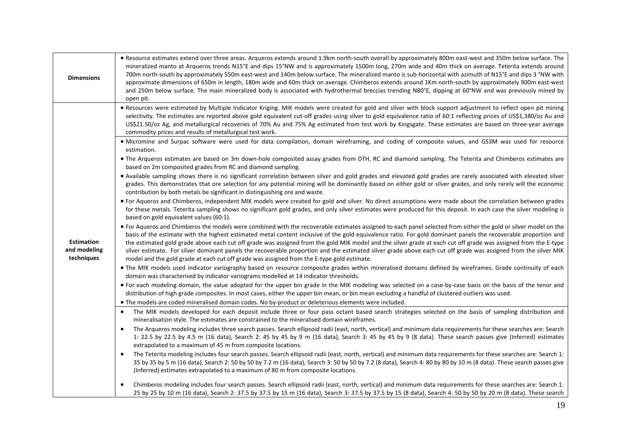| <b>Dimensions</b>                               | • Resource estimates extend over three areas. Argueros extends around 1.9km north-south overall by approximately 800m east-west and 350m below surface. The<br>mineralized manto at Arqueros trends N15°E and dips 15°NW and is approximately 1500m long, 270m wide and 40m thick on average. Teterita extends around<br>700m north-south by approximately 550m east-west and 140m below surface. The mineralized manto is sub-horizontal with azimuth of N15°E and dips 3 °NW with<br>approximate dimensions of 650m in length, 180m wide and 60m thick on average. Chimberos extends around 1Km north-south by approximately 900m east-west<br>and 250m below surface. The main mineralized body is associated with hydrothermal breccias trending N80°E, dipping at 60°NW and was previously mined by<br>open pit. |  |  |  |  |
|-------------------------------------------------|-----------------------------------------------------------------------------------------------------------------------------------------------------------------------------------------------------------------------------------------------------------------------------------------------------------------------------------------------------------------------------------------------------------------------------------------------------------------------------------------------------------------------------------------------------------------------------------------------------------------------------------------------------------------------------------------------------------------------------------------------------------------------------------------------------------------------|--|--|--|--|
|                                                 | . Resources were estimated by Multiple Indicator Kriging. MIK models were created for gold and silver with block support adjustment to reflect open pit mining<br>selectivity. The estimates are reported above gold equivalent cut-off grades using silver to gold equivalence ratio of 60:1 reflecting prices of US\$1,380/oz Au and<br>US\$21.50/oz Ag, and metallurgical recoveries of 70% Au and 75% Ag estimated from test work by Kingsgate. These estimates are based on three-year average<br>commodity prices and results of metallurgical test work.                                                                                                                                                                                                                                                       |  |  |  |  |
|                                                 | • Micromine and Surpac software were used for data compilation, domain wireframing, and coding of composite values, and GS3M was used for resource<br>estimation.                                                                                                                                                                                                                                                                                                                                                                                                                                                                                                                                                                                                                                                     |  |  |  |  |
|                                                 | . The Arqueros estimates are based on 3m down-hole composited assay grades from DTH, RC and diamond sampling. The Teterita and Chimberos estimates are<br>based on 2m composited grades from RC and diamond sampling.                                                                                                                                                                                                                                                                                                                                                                                                                                                                                                                                                                                                 |  |  |  |  |
|                                                 | . Available sampling shows there is no significant correlation between silver and gold grades and elevated gold grades are rarely associated with elevated silver<br>grades. This demonstrates that ore selection for any potential mining will be dominantly based on either gold or silver grades, and only rarely will the economic<br>contribution by both metals be significant in distinguishing ore and waste.                                                                                                                                                                                                                                                                                                                                                                                                 |  |  |  |  |
|                                                 | • For Aqueros and Chimberos, independent MIK models were created for gold and silver. No direct assumptions were made about the correlation between grades<br>for these metals. Teterita sampling shows no significant gold grades, and only silver estimates were produced for this deposit. In each case the silver modeling is<br>based on gold equivalent values (60:1).                                                                                                                                                                                                                                                                                                                                                                                                                                          |  |  |  |  |
| <b>Estimation</b><br>and modeling<br>techniques | • For Aqueros and Chimberos the models were combined with the recoverable estimates assigned to each panel selected from either the gold or silver model on the<br>basis of the estimate with the highest estimated metal content inclusive of the gold equivalence ratio. For gold dominant panels the recoverable proportion and<br>the estimated gold grade above each cut off grade was assigned from the gold MIK model and the silver grade at each cut off grade was assigned from the E-type<br>silver estimate. For silver dominant panels the recoverable proportion and the estimated silver grade above each cut off grade was assigned from the silver MIK<br>model and the gold grade at each cut off grade was assigned from the E-type gold estimate.                                                 |  |  |  |  |
|                                                 | • The MIK models used indicator variography based on resource composite grades within mineralised domains defined by wireframes. Grade continuity of each<br>domain was characterised by indicator variograms modelled at 14 indicator thresholds.                                                                                                                                                                                                                                                                                                                                                                                                                                                                                                                                                                    |  |  |  |  |
|                                                 | • For each modeling domain, the value adopted for the upper bin grade in the MIK modeling was selected on a case-by-case basis on the basis of the tenor and<br>distribution of high grade composites. In most cases, either the upper bin mean, or bin mean excluding a handful of clustered outliers was used.                                                                                                                                                                                                                                                                                                                                                                                                                                                                                                      |  |  |  |  |
|                                                 | . The models are coded mineralised domain codes. No by-product or deleterious elements were included.                                                                                                                                                                                                                                                                                                                                                                                                                                                                                                                                                                                                                                                                                                                 |  |  |  |  |
|                                                 | The MIK models developed for each deposit include three or four pass octant based search strategies selected on the basis of sampling distribution and<br>$\bullet$<br>mineralisation style. The estimates are constrained to the mineralised domain wireframes.                                                                                                                                                                                                                                                                                                                                                                                                                                                                                                                                                      |  |  |  |  |
|                                                 | The Arqueros modeling includes three search passes. Search ellipsoid radii (east, north, vertical) and minimum data requirements for these searches are: Search<br>$\bullet$<br>1: 22.5 by 22.5 by 4.5 m (16 data), Search 2: 45 by 45 by 9 m (16 data), Search 3: 45 by 45 by 9 (8 data). These search passes give (Inferred) estimates<br>extrapolated to a maximum of 45 m from composite locations.                                                                                                                                                                                                                                                                                                                                                                                                               |  |  |  |  |
|                                                 | The Teterita modeling includes four search passes. Search ellipsoid radii (east, north, vertical) and minimum data requirements for these searches are: Search 1:<br>$\bullet$<br>35 by 35 by 5 m (16 data), Search 2: 50 by 50 by 7.2 m (16 data), Search 3: 50 by 50 by 7.2 (8 data), Search 4: 80 by 80 by 10 m (8 data). These search passes give<br>(Inferred) estimates extrapolated to a maximum of 80 m from composite locations.                                                                                                                                                                                                                                                                                                                                                                             |  |  |  |  |
|                                                 | Chimberos modeling includes four search passes. Search ellipsoid radii (east, north, vertical) and minimum data requirements for these searches are: Search 1:<br>25 by 25 by 10 m (16 data), Search 2: 37.5 by 37.5 by 15 m (16 data), Search 3: 37.5 by 37.5 by 15 (8 data), Search 4: 50 by 50 by 20 m (8 data). These search                                                                                                                                                                                                                                                                                                                                                                                                                                                                                      |  |  |  |  |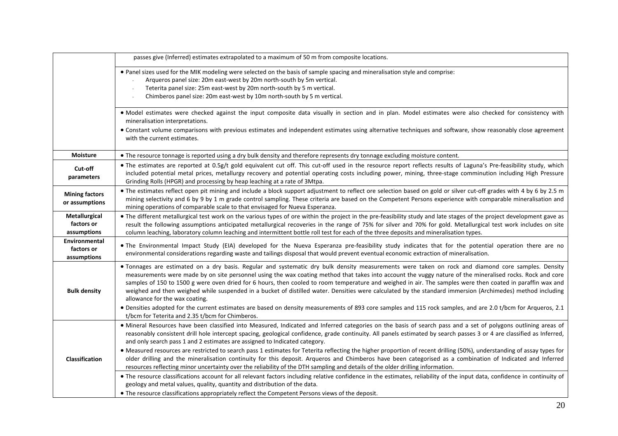|                                            | passes give (Inferred) estimates extrapolated to a maximum of 50 m from composite locations.                                                                                                                                                                                                                                                                                                                                                                                                                                                                                                                                                                                                                                                                                                                                                        |
|--------------------------------------------|-----------------------------------------------------------------------------------------------------------------------------------------------------------------------------------------------------------------------------------------------------------------------------------------------------------------------------------------------------------------------------------------------------------------------------------------------------------------------------------------------------------------------------------------------------------------------------------------------------------------------------------------------------------------------------------------------------------------------------------------------------------------------------------------------------------------------------------------------------|
|                                            | . Panel sizes used for the MIK modeling were selected on the basis of sample spacing and mineralisation style and comprise:<br>Arqueros panel size: 20m east-west by 20m north-south by 5m vertical.<br>Teterita panel size: 25m east-west by 20m north-south by 5 m vertical.<br>Chimberos panel size: 20m east-west by 10m north-south by 5 m vertical.                                                                                                                                                                                                                                                                                                                                                                                                                                                                                           |
|                                            | . Model estimates were checked against the input composite data visually in section and in plan. Model estimates were also checked for consistency with<br>mineralisation interpretations.<br>• Constant volume comparisons with previous estimates and independent estimates using alternative techniques and software, show reasonably close agreement<br>with the current estimates.                                                                                                                                                                                                                                                                                                                                                                                                                                                             |
| <b>Moisture</b>                            | • The resource tonnage is reported using a dry bulk density and therefore represents dry tonnage excluding moisture content.                                                                                                                                                                                                                                                                                                                                                                                                                                                                                                                                                                                                                                                                                                                        |
| Cut-off<br>parameters                      | . The estimates are reported at 0.5g/t gold equivalent cut off. This cut-off used in the resource report reflects results of Laguna's Pre-feasibility study, which<br>included potential metal prices, metallurgy recovery and potential operating costs including power, mining, three-stage comminution including High Pressure<br>Grinding Rolls (HPGR) and processing by heap leaching at a rate of 3Mtpa.                                                                                                                                                                                                                                                                                                                                                                                                                                      |
| <b>Mining factors</b><br>or assumptions    | . The estimates reflect open pit mining and include a block support adjustment to reflect ore selection based on gold or silver cut-off grades with 4 by 6 by 2.5 m<br>mining selectivity and 6 by 9 by 1 m grade control sampling. These criteria are based on the Competent Persons experience with comparable mineralisation and<br>mining operations of comparable scale to that envisaged for Nueva Esperanza.                                                                                                                                                                                                                                                                                                                                                                                                                                 |
| Metallurgical<br>factors or<br>assumptions | . The different metallurgical test work on the various types of ore within the project in the pre-feasibility study and late stages of the project development gave as<br>result the following assumptions anticipated metallurgical recoveries in the range of 75% for silver and 70% for gold. Metallurgical test work includes on site<br>column leaching, laboratory column leaching and intermittent bottle roll test for each of the three deposits and mineralisation types.                                                                                                                                                                                                                                                                                                                                                                 |
| Environmental<br>factors or<br>assumptions | . The Environmental Impact Study (EIA) developed for the Nueva Esperanza pre-feasibility study indicates that for the potential operation there are no<br>environmental considerations regarding waste and tailings disposal that would prevent eventual economic extraction of mineralisation.                                                                                                                                                                                                                                                                                                                                                                                                                                                                                                                                                     |
| <b>Bulk density</b>                        | . Tonnages are estimated on a dry basis. Regular and systematic dry bulk density measurements were taken on rock and diamond core samples. Density<br>measurements were made by on site personnel using the wax coating method that takes into account the vuggy nature of the mineralised rocks. Rock and core<br>samples of 150 to 1500 g were oven dried for 6 hours, then cooled to room temperature and weighed in air. The samples were then coated in paraffin wax and<br>weighed and then weighed while suspended in a bucket of distilled water. Densities were calculated by the standard immersion (Archimedes) method including<br>allowance for the wax coating.<br>.1.2.1 Densities adopted for the current estimates are based on density measurements of 893 core samples and 115 rock samples, and are 2.0 t/bcm for Arqueros, 2.1 |
|                                            | t/bcm for Teterita and 2.35 t/bcm for Chimberos.<br>. Mineral Resources have been classified into Measured, Indicated and Inferred categories on the basis of search pass and a set of polygons outlining areas of                                                                                                                                                                                                                                                                                                                                                                                                                                                                                                                                                                                                                                  |
| <b>Classification</b>                      | reasonably consistent drill hole intercept spacing, geological confidence, grade continuity. All panels estimated by search passes 3 or 4 are classified as Inferred,<br>and only search pass 1 and 2 estimates are assigned to Indicated category.<br>• Measured resources are restricted to search pass 1 estimates for Teterita reflecting the higher proportion of recent drilling (50%), understanding of assay types for<br>older drilling and the mineralisation continuity for this deposit. Arqueros and Chimberos have been categorised as a combination of Indicated and Inferred                                                                                                                                                                                                                                                        |
|                                            | resources reflecting minor uncertainty over the reliability of the DTH sampling and details of the older drilling information.                                                                                                                                                                                                                                                                                                                                                                                                                                                                                                                                                                                                                                                                                                                      |
|                                            | . The resource classifications account for all relevant factors including relative confidence in the estimates, reliability of the input data, confidence in continuity of<br>geology and metal values, quality, quantity and distribution of the data.                                                                                                                                                                                                                                                                                                                                                                                                                                                                                                                                                                                             |
|                                            | • The resource classifications appropriately reflect the Competent Persons views of the deposit.                                                                                                                                                                                                                                                                                                                                                                                                                                                                                                                                                                                                                                                                                                                                                    |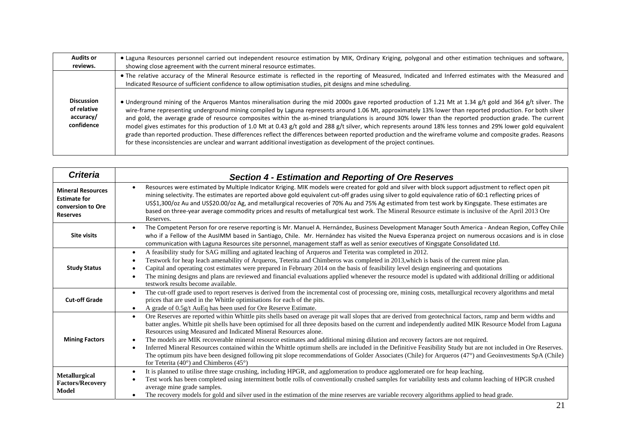| <b>Audits or</b><br>reviews.                                | • Laguna Resources personnel carried out independent resource estimation by MIK, Ordinary Kriging, polygonal and other estimation techniques and software,<br>showing close agreement with the current mineral resource estimates.                                                                                                                                                                                                                                                                                                                                                                                                                                                                                                                                                                                                                                                                                                               |
|-------------------------------------------------------------|--------------------------------------------------------------------------------------------------------------------------------------------------------------------------------------------------------------------------------------------------------------------------------------------------------------------------------------------------------------------------------------------------------------------------------------------------------------------------------------------------------------------------------------------------------------------------------------------------------------------------------------------------------------------------------------------------------------------------------------------------------------------------------------------------------------------------------------------------------------------------------------------------------------------------------------------------|
|                                                             | . The relative accuracy of the Mineral Resource estimate is reflected in the reporting of Measured, Indicated and Inferred estimates with the Measured and<br>Indicated Resource of sufficient confidence to allow optimisation studies, pit designs and mine scheduling.                                                                                                                                                                                                                                                                                                                                                                                                                                                                                                                                                                                                                                                                        |
| <b>Discussion</b><br>of relative<br>accuracy/<br>confidence | . Underground mining of the Arqueros Mantos mineralisation during the mid 2000s gave reported production of 1.21 Mt at 1.34 g/t gold and 364 g/t silver. The<br>wire-frame representing underground mining compiled by Laguna represents around 1.06 Mt, approximately 13% lower than reported production. For both silver<br>and gold, the average grade of resource composites within the as-mined triangulations is around 30% lower than the reported production grade. The current<br>model gives estimates for this production of 1.0 Mt at 0.43 g/t gold and 288 g/t silver, which represents around 18% less tonnes and 29% lower gold equivalent<br>grade than reported production. These differences reflect the differences between reported production and the wireframe volume and composite grades. Reasons<br>for these inconsistencies are unclear and warrant additional investigation as development of the project continues. |

| <b>Criteria</b>                                                                         | <b>Section 4 - Estimation and Reporting of Ore Reserves</b>                                                                                                                                                                                                                                                                                                                                                                                                                                                                                                                                                                                                                                                                                                                                                                                                                                                                            |
|-----------------------------------------------------------------------------------------|----------------------------------------------------------------------------------------------------------------------------------------------------------------------------------------------------------------------------------------------------------------------------------------------------------------------------------------------------------------------------------------------------------------------------------------------------------------------------------------------------------------------------------------------------------------------------------------------------------------------------------------------------------------------------------------------------------------------------------------------------------------------------------------------------------------------------------------------------------------------------------------------------------------------------------------|
| <b>Mineral Resources</b><br><b>Estimate for</b><br>conversion to Ore<br><b>Reserves</b> | Resources were estimated by Multiple Indicator Kriging. MIK models were created for gold and silver with block support adjustment to reflect open pit<br>mining selectivity. The estimates are reported above gold equivalent cut-off grades using silver to gold equivalence ratio of 60:1 reflecting prices of<br>US\$1,300/oz Au and US\$20.00/oz Ag, and metallurgical recoveries of 70% Au and 75% Ag estimated from test work by Kingsgate. These estimates are<br>based on three-year average commodity prices and results of metallurgical test work. The Mineral Resource estimate is inclusive of the April 2013 Ore<br>Reserves.                                                                                                                                                                                                                                                                                            |
| <b>Site visits</b>                                                                      | The Competent Person for ore reserve reporting is Mr. Manuel A. Hernández, Business Development Manager South America - Andean Region, Coffey Chile<br>who if a Fellow of the AusIMM based in Santiago, Chile. Mr. Hernández has visited the Nueva Esperanza project on numerous occasions and is in close<br>communication with Laguna Resources site personnel, management staff as well as senior executives of Kingsgate Consolidated Ltd.                                                                                                                                                                                                                                                                                                                                                                                                                                                                                         |
| <b>Study Status</b>                                                                     | A feasibility study for SAG milling and agitated leaching of Arqueros and Teterita was completed in 2012.<br>Testwork for heap leach amenability of Arqueros, Teterita and Chimberos was completed in 2013, which is basis of the current mine plan.<br>Capital and operating cost estimates were prepared in February 2014 on the basis of feasibility level design engineering and quotations<br>The mining designs and plans are reviewed and financial evaluations applied whenever the resource model is updated with additional drilling or additional<br>testwork results become available.                                                                                                                                                                                                                                                                                                                                     |
| <b>Cut-off Grade</b>                                                                    | The cut-off grade used to report reserves is derived from the incremental cost of processing ore, mining costs, metallurgical recovery algorithms and metal<br>prices that are used in the Whittle optimisations for each of the pits.<br>A grade of 0.5g/t AuEq has been used for Ore Reserve Estimate.<br>$\bullet$                                                                                                                                                                                                                                                                                                                                                                                                                                                                                                                                                                                                                  |
| <b>Mining Factors</b>                                                                   | Ore Reserves are reported within Whittle pits shells based on average pit wall slopes that are derived from geotechnical factors, ramp and berm widths and<br>$\bullet$<br>batter angles. Whittle pit shells have been optimised for all three deposits based on the current and independently audited MIK Resource Model from Laguna<br>Resources using Measured and Indicated Mineral Resources alone.<br>The models are MIK recoverable mineral resource estimates and additional mining dilution and recovery factors are not required.<br>Inferred Mineral Resources contained within the Whittle optimum shells are included in the Definitive Feasibility Study but are not included in Ore Reserves.<br>The optimum pits have been designed following pit slope recommendations of Golder Associates (Chile) for Arqueros (47°) and Geoinvestments SpA (Chile)<br>for Teterita (40 $^{\circ}$ ) and Chimberos (45 $^{\circ}$ ) |
| <b>Metallurgical</b><br><b>Factors/Recovery</b><br>Model                                | It is planned to utilise three stage crushing, including HPGR, and agglomeration to produce agglomerated ore for heap leaching.<br>Test work has been completed using intermittent bottle rolls of conventionally crushed samples for variability tests and column leaching of HPGR crushed<br>average mine grade samples.<br>The recovery models for gold and silver used in the estimation of the mine reserves are variable recovery algorithms applied to head grade.                                                                                                                                                                                                                                                                                                                                                                                                                                                              |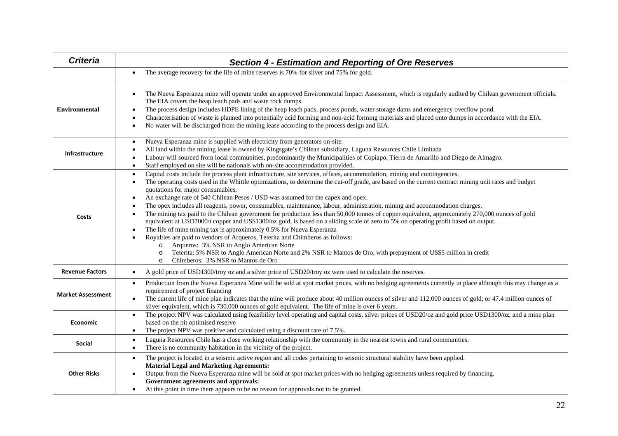| <b>Criteria</b>          | <b>Section 4 - Estimation and Reporting of Ore Reserves</b>                                                                                                                                                                                                                                                                                                                                                                                                                                                                                                                                                                                                                                                                                                                                                                                                                                                                                                                                                                                                                                                                                                                                                                                                               |  |  |  |  |
|--------------------------|---------------------------------------------------------------------------------------------------------------------------------------------------------------------------------------------------------------------------------------------------------------------------------------------------------------------------------------------------------------------------------------------------------------------------------------------------------------------------------------------------------------------------------------------------------------------------------------------------------------------------------------------------------------------------------------------------------------------------------------------------------------------------------------------------------------------------------------------------------------------------------------------------------------------------------------------------------------------------------------------------------------------------------------------------------------------------------------------------------------------------------------------------------------------------------------------------------------------------------------------------------------------------|--|--|--|--|
|                          | The average recovery for the life of mine reserves is 70% for silver and 75% for gold.                                                                                                                                                                                                                                                                                                                                                                                                                                                                                                                                                                                                                                                                                                                                                                                                                                                                                                                                                                                                                                                                                                                                                                                    |  |  |  |  |
| <b>Environmental</b>     | The Nueva Esperanza mine will operate under an approved Environmental Impact Assessment, which is regularly audited by Chilean government officials.<br>The EIA covers the heap leach pads and waste rock dumps.<br>The process design includes HDPE lining of the heap leach pads, process ponds, water storage dams and emergency overflow pond.<br>Characterisation of waste is planned into potentially acid forming and non-acid forming materials and placed onto dumps in accordance with the EIA.<br>$\bullet$<br>No water will be discharged from the mining lease according to the process design and EIA.<br>$\bullet$                                                                                                                                                                                                                                                                                                                                                                                                                                                                                                                                                                                                                                         |  |  |  |  |
| Infrastructure           | Nueva Esperanza mine is supplied with electricity from generators on-site.<br>$\bullet$<br>All land within the mining lease is owned by Kingsgate's Chilean subsidiary, Laguna Resources Chile Limitada<br>Labour will sourced from local communities, predominantly the Municipalities of Copiapo, Tierra de Amarillo and Diego de Almagro.<br>Staff employed on site will be nationals with on-site accommodation provided.<br>$\bullet$                                                                                                                                                                                                                                                                                                                                                                                                                                                                                                                                                                                                                                                                                                                                                                                                                                |  |  |  |  |
| Costs                    | Capital costs include the process plant infrastructure, site services, offices, accommodation, mining and contingencies.<br>$\bullet$<br>The operating costs used in the Whittle optimizations, to determine the cut-off grade, are based on the current contract mining unit rates and budget<br>$\bullet$<br>quotations for major consumables.<br>An exchange rate of 540 Chilean Pesos / USD was assumed for the capex and opex.<br>$\bullet$<br>The opex includes all reagents, power, consumables, maintenance, labour, administration, mining and accommodation charges.<br>The mining tax paid to the Chilean government for production less than 50,000 tonnes of copper equivalent, approximately 270,000 ounces of gold<br>equivalent at USD7000/t copper and US\$1300/oz gold, is based on a sliding scale of zero to 5% on operating profit based on output.<br>The life of mine mining tax is approximately 0.5% for Nueva Esperanza<br>Royalties are paid to vendors of Arqueros, Teterita and Chimberos as follows:<br>Arqueros: 3% NSR to Anglo American Norte<br>$\circ$<br>Teterita: 5% NSR to Anglo American Norte and 2% NSR to Mantos de Oro, with prepayment of US\$5 million in credit<br>$\circ$<br>Chimberos: 3% NSR to Mantos de Oro<br>$\circ$ |  |  |  |  |
| <b>Revenue Factors</b>   | A gold price of USD1300/troy oz and a silver price of USD20/troy oz were used to calculate the reserves.                                                                                                                                                                                                                                                                                                                                                                                                                                                                                                                                                                                                                                                                                                                                                                                                                                                                                                                                                                                                                                                                                                                                                                  |  |  |  |  |
| <b>Market Assessment</b> | Production from the Nueva Esperanza Mine will be sold at spot market prices, with no hedging agreements currently in place although this may change as a<br>$\bullet$<br>requirement of project financing<br>The current life of mine plan indicates that the mine will produce about 40 million ounces of silver and 112,000 ounces of gold; or 47.4 million ounces of<br>silver equivalent, which is 730,000 ounces of gold equivalent. The life of mine is over 6 years.                                                                                                                                                                                                                                                                                                                                                                                                                                                                                                                                                                                                                                                                                                                                                                                               |  |  |  |  |
| <b>Economic</b>          | The project NPV was calculated using feasibility level operating and capital costs, silver prices of USD20/oz and gold price USD1300/oz, and a mine plan<br>$\bullet$<br>based on the pit optimised reserve<br>The project NPV was positive and calculated using a discount rate of 7.5%.<br>$\bullet$                                                                                                                                                                                                                                                                                                                                                                                                                                                                                                                                                                                                                                                                                                                                                                                                                                                                                                                                                                    |  |  |  |  |
| Social                   | Laguna Resources Chile has a close working relationship with the community in the nearest towns and rural communities.<br>$\bullet$<br>There is no community habitation in the vicinity of the project.<br>$\bullet$                                                                                                                                                                                                                                                                                                                                                                                                                                                                                                                                                                                                                                                                                                                                                                                                                                                                                                                                                                                                                                                      |  |  |  |  |
| <b>Other Risks</b>       | The project is located in a seismic active region and all codes pertaining to seismic structural stability have been applied.<br>$\bullet$<br><b>Material Legal and Marketing Agreements:</b><br>Output from the Nueva Esperanza mine will be sold at spot market prices with no hedging agreements unless required by financing.<br>Government agreements and approvals:<br>At this point in time there appears to be no reason for approvals not to be granted.<br>$\bullet$                                                                                                                                                                                                                                                                                                                                                                                                                                                                                                                                                                                                                                                                                                                                                                                            |  |  |  |  |